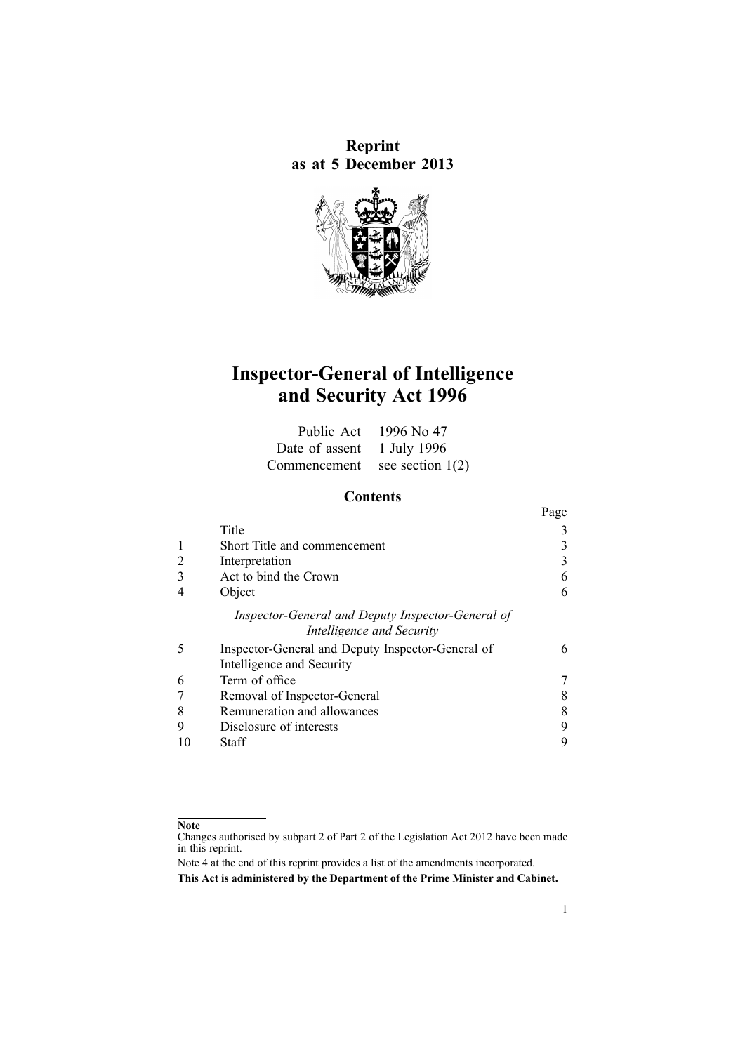**Reprint as at 5 December 2013**



# **Inspector-General of Intelligence and Security Act 1996**

|                               | Public Act $1996$ No 47 |
|-------------------------------|-------------------------|
| Date of assent 1 July 1996    |                         |
| Commencement see section 1(2) |                         |

# **Contents**

|   |                                                   | Page |
|---|---------------------------------------------------|------|
|   | Title                                             |      |
|   | Short Title and commencement                      |      |
|   | Interpretation                                    |      |
|   | Act to bind the Crown                             |      |
|   | Object                                            | 6    |
|   | Inspector-General and Deputy Inspector-General of |      |
|   | Intelligence and Security                         |      |
| 5 | Inspector-General and Deputy Inspector-General of | 6    |
|   | Intelligence and Security                         |      |
| 6 | Term of office                                    |      |
|   | Removal of Inspector-General                      |      |
| 8 | Remuneration and allowances                       |      |
|   | Disclosure of interests                           | Q    |
|   | Staff                                             |      |

#### **Note**

Changes authorised by [subpart](http://www.legislation.govt.nz/pdflink.aspx?id=DLM2998524) 2 of Part 2 of the Legislation Act 2012 have been made in this reprint.

Note 4 at the end of this reprint provides <sup>a</sup> list of the amendments incorporated. **This Act is administered by the Department of the Prime Minister and Cabinet.**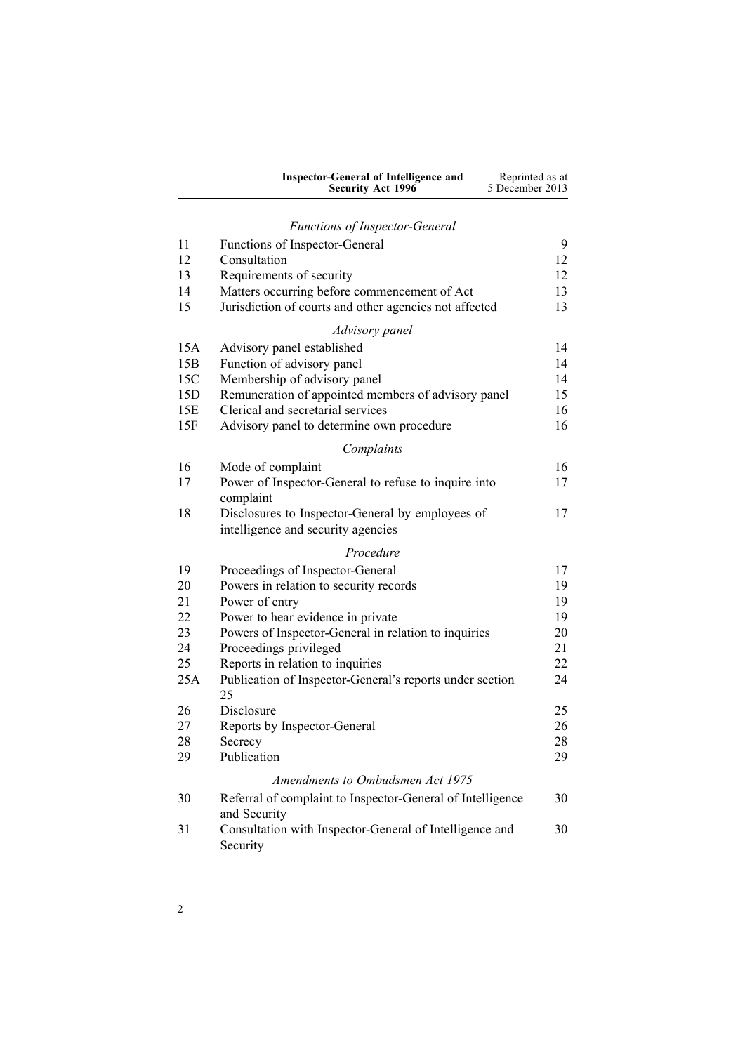| Inspector-General of Intelligence and | Reprinted as at |
|---------------------------------------|-----------------|
| <b>Security Act 1996</b>              | 5 December 2013 |

# *Functions of [Inspector-General](#page-8-0)*

| 11         | Functions of Inspector-General<br>Consultation                           | 9        |
|------------|--------------------------------------------------------------------------|----------|
| 12<br>13   |                                                                          | 12<br>12 |
| 14         | Requirements of security<br>Matters occurring before commencement of Act | 13       |
| 15         | Jurisdiction of courts and other agencies not affected                   | 13       |
|            |                                                                          |          |
|            | Advisory panel                                                           |          |
| 15A        | Advisory panel established                                               | 14       |
| 15B        | Function of advisory panel                                               | 14       |
| 15C        | Membership of advisory panel                                             | 14       |
| 15D        | Remuneration of appointed members of advisory panel                      | 15       |
| 15E<br>15F | Clerical and secretarial services                                        | 16<br>16 |
|            | Advisory panel to determine own procedure                                |          |
|            | Complaints                                                               |          |
| 16         | Mode of complaint                                                        | 16       |
| 17         | Power of Inspector-General to refuse to inquire into<br>complaint        | 17       |
| 18         | Disclosures to Inspector-General by employees of                         | 17       |
|            | intelligence and security agencies                                       |          |
|            | Procedure                                                                |          |
| 19         | Proceedings of Inspector-General                                         | 17       |
| 20         | Powers in relation to security records                                   | 19       |
| 21         | Power of entry                                                           | 19       |
| 22         | Power to hear evidence in private                                        | 19       |
| 23         | Powers of Inspector-General in relation to inquiries                     | 20       |
| 24         | Proceedings privileged                                                   | 21       |
| 25         | Reports in relation to inquiries                                         | 22       |
| 25A        | Publication of Inspector-General's reports under section<br>25           | 24       |
| 26         | Disclosure                                                               | 25       |
| 27         | Reports by Inspector-General                                             | 26       |
| 28         | Secrecy                                                                  | 28       |
| 29         | Publication                                                              | 29       |
|            | Amendments to Ombudsmen Act 1975                                         |          |
| 30         | Referral of complaint to Inspector-General of Intelligence               | 30       |
| 31         | and Security                                                             | 30       |
|            | Consultation with Inspector-General of Intelligence and<br>Security      |          |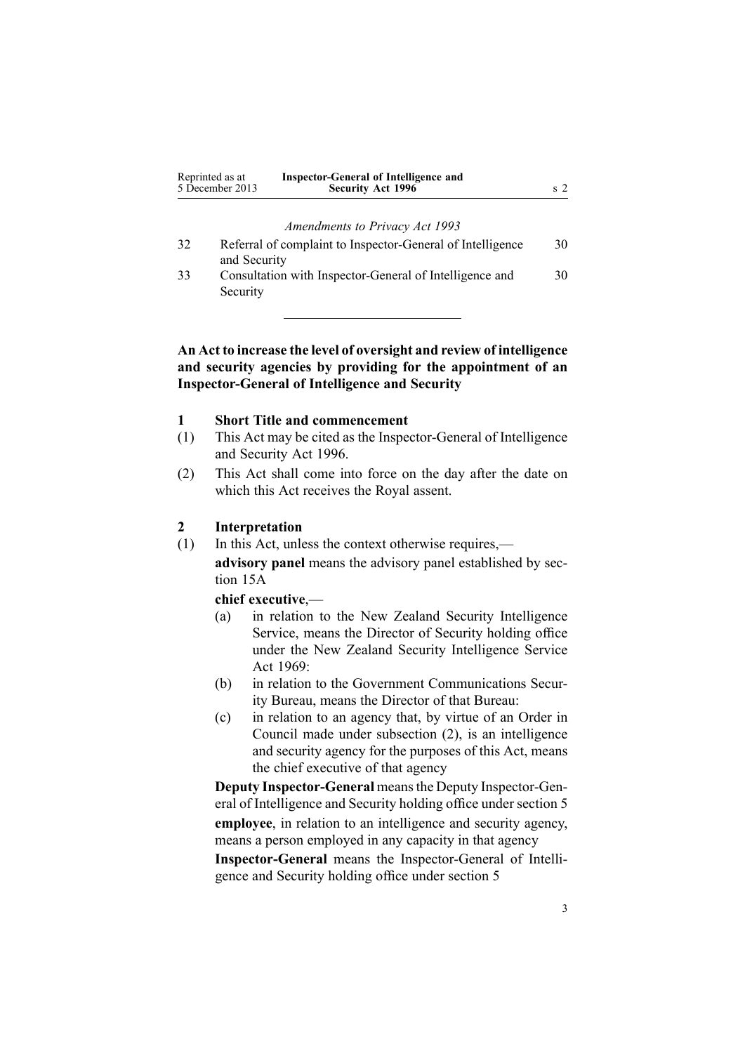<span id="page-2-0"></span>

| Reprinted as at<br>5 December 2013 | <b>Inspector-General of Intelligence and</b><br><b>Security Act 1996</b> |  |
|------------------------------------|--------------------------------------------------------------------------|--|
|                                    |                                                                          |  |

*[Amendments](#page-29-0) to Privacy Act 1993*

| 32 | Referral of complaint to Inspector-General of Intelligence | 30 |
|----|------------------------------------------------------------|----|
|    | and Security                                               |    |
| 33 | Consultation with Inspector-General of Intelligence and    | 30 |
|    | Security                                                   |    |

# **An Act to increase the level of oversight and review of intelligence and security agencies by providing for the appointment of an Inspector-General of Intelligence and Security**

# **1 Short Title and commencement**

- (1) This Act may be cited as the Inspector-General of Intelligence and Security Act 1996.
- (2) This Act shall come into force on the day after the date on which this Act receives the Royal assent.

# **2 Interpretation**

(1) In this Act, unless the context otherwise requires,—

**advisory panel** means the advisory panel established by [sec](#page-13-0)tion [15A](#page-13-0)

### **chief executive**,—

- (a) in relation to the New Zealand Security Intelligence Service, means the Director of Security holding office under the New Zealand Security [Intelligence](http://www.legislation.govt.nz/pdflink.aspx?id=DLM391605) Service Act [1969](http://www.legislation.govt.nz/pdflink.aspx?id=DLM391605):
- (b) in relation to the Government Communications Security Bureau, means the Director of that Bureau:
- (c) in relation to an agency that, by virtue of an Order in Council made under subsection (2), is an intelligence and security agency for the purposes of this Act, means the chief executive of that agency

**Deputy Inspector-General** meansthe Deputy Inspector-General of Intelligence and Security holding office under [section](#page-5-0) 5 **employee**, in relation to an intelligence and security agency, means <sup>a</sup> person employed in any capacity in that agency

**Inspector-General** means the Inspector-General of Intelligence and Security holding office under [section](#page-5-0) 5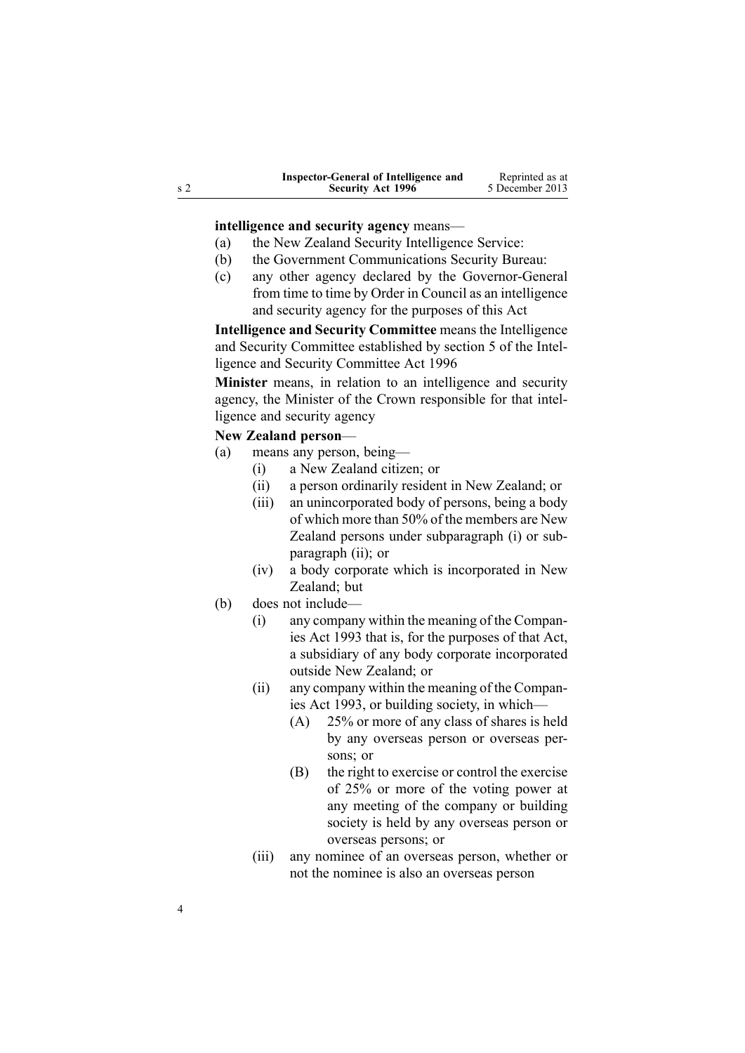| Inspector-General of Intelligence and | Reprinted as at |
|---------------------------------------|-----------------|
| <b>Security Act 1996</b>              | 5 December 2013 |

**intelligence and security agency** means—

- (a) the New Zealand Security Intelligence Service:
- (b) the Government Communications Security Bureau:
- (c) any other agency declared by the Governor-General from time to time by Order in Council as an intelligence and security agency for the purposes of this Act

**Intelligence and Security Committee** means the Intelligence and Security Committee established by [section](http://www.legislation.govt.nz/pdflink.aspx?id=DLM392266) 5 of the Intelligence and Security Committee Act 1996

**Minister** means, in relation to an intelligence and security agency, the Minister of the Crown responsible for that intelligence and security agency

# **New Zealand person**—

- (a) means any person, being—
	- (i) <sup>a</sup> New Zealand citizen; or
	- (ii) <sup>a</sup> person ordinarily resident in New Zealand; or
	- (iii) an unincorporated body of persons, being <sup>a</sup> body of which more than 50% of the members are New Zealand persons under subparagraph (i) or subparagraph (ii); or
	- (iv) <sup>a</sup> body corporate which is incorporated in New Zealand<sup>-</sup> but
- (b) does not include—
	- (i) any company within the meaning of the [Compan](http://www.legislation.govt.nz/pdflink.aspx?id=DLM319569)ies Act [1993](http://www.legislation.govt.nz/pdflink.aspx?id=DLM319569) that is, for the purposes of that Act, <sup>a</sup> subsidiary of any body corporate incorporated outside New Zealand; or
	- (ii) any company within the meaning of the [Compan](http://www.legislation.govt.nz/pdflink.aspx?id=DLM319569)ies Act [1993](http://www.legislation.govt.nz/pdflink.aspx?id=DLM319569), or building society, in which—
		- (A) 25% or more of any class of shares is held by any overseas person or overseas persons: or
		- (B) the right to exercise or control the exercise of 25% or more of the voting power at any meeting of the company or building society is held by any overseas person or overseas persons; or
	- (iii) any nominee of an overseas person, whether or not the nominee is also an overseas person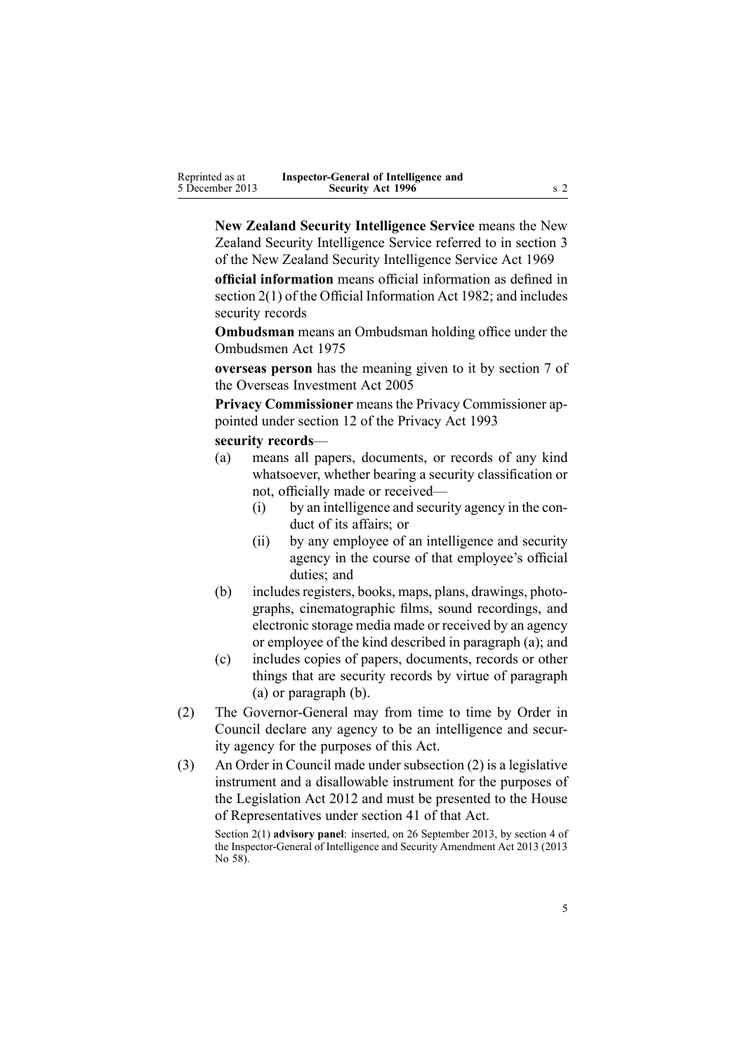**New Zealand Security Intelligence Service** means the New Zealand Security Intelligence Service referred to in [section](http://www.legislation.govt.nz/pdflink.aspx?id=DLM391803) 3 of the New Zealand Security Intelligence Service Act 1969

**official information** means official information as defined in [section](http://www.legislation.govt.nz/pdflink.aspx?id=DLM65309) 2(1) of the Official Information Act 1982; and includes security records

**Ombudsman** means an Ombudsman holding office under the [Ombudsmen](http://www.legislation.govt.nz/pdflink.aspx?id=DLM430983) Act 1975

**overseas person** has the meaning given to it by [section](http://www.legislation.govt.nz/pdflink.aspx?id=DLM357794) 7 of the Overseas Investment Act 2005

**Privacy Commissioner** means the Privacy Commissioner appointed under [section](http://www.legislation.govt.nz/pdflink.aspx?id=DLM297053) 12 of the Privacy Act 1993

#### **security records**—

- (a) means all papers, documents, or records of any kind whatsoever, whether bearing <sup>a</sup> security classification or not, officially made or received—
	- (i) by an intelligence and security agency in the conduct of its affairs; or
	- (ii) by any employee of an intelligence and security agency in the course of that employee's official duties; and
- (b) includes registers, books, maps, plans, drawings, photographs, cinematographic films, sound recordings, and electronic storage media made or received by an agency or employee of the kind described in paragraph (a); and
- (c) includes copies of papers, documents, records or other things that are security records by virtue of paragraph (a) or paragraph (b).
- (2) The Governor-General may from time to time by Order in Council declare any agency to be an intelligence and security agency for the purposes of this Act.
- (3) An Order in Council made under subsection (2) is <sup>a</sup> legislative instrument and <sup>a</sup> disallowable instrument for the purposes of the [Legislation](http://www.legislation.govt.nz/pdflink.aspx?id=DLM2997643) Act 2012 and must be presented to the House of Representatives under [section](http://www.legislation.govt.nz/pdflink.aspx?id=DLM2998573) 41 of that Act.

Section 2(1) **advisory panel**: inserted, on 26 September 2013, by [section](http://www.legislation.govt.nz/pdflink.aspx?id=DLM5495909) 4 of the Inspector-General of Intelligence and Security Amendment Act 2013 (2013 No 58).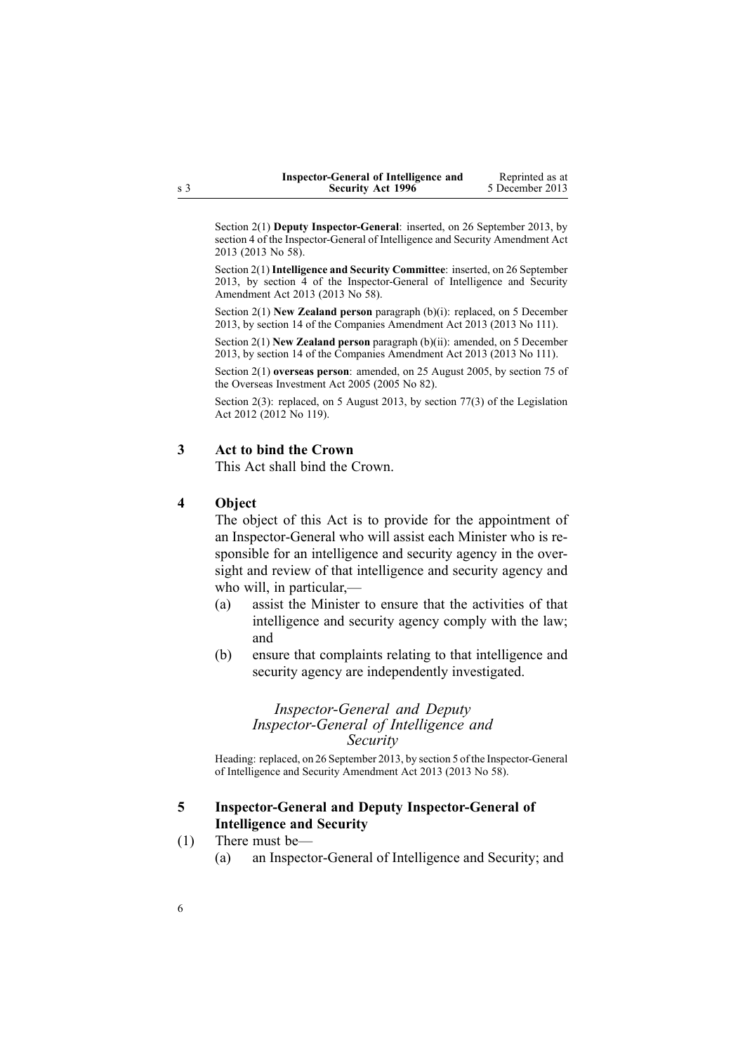| Inspector-General of Intelligence and | Reprinted as at |
|---------------------------------------|-----------------|
| <b>Security Act 1996</b>              | 5 December 2013 |

<span id="page-5-0"></span>Section 2(1) **Deputy Inspector-General**: inserted, on 26 September 2013, by [section](http://www.legislation.govt.nz/pdflink.aspx?id=DLM5495909) 4 of the Inspector-General of Intelligence and Security Amendment Act 2013 (2013 No 58).

Section 2(1) **Intelligence and Security Committee**: inserted, on 26 September 2013, by [section](http://www.legislation.govt.nz/pdflink.aspx?id=DLM5495909) 4 of the Inspector-General of Intelligence and Security Amendment Act 2013 (2013 No 58).

Section 2(1) **New Zealand person** paragraph (b)(i): replaced, on 5 December 2013, by [section](http://www.legislation.govt.nz/pdflink.aspx?id=DLM5620822) 14 of the Companies Amendment Act 2013 (2013 No 111).

Section 2(1) **New Zealand person** paragraph (b)(ii): amended, on 5 December 2013, by [section](http://www.legislation.govt.nz/pdflink.aspx?id=DLM5620822) 14 of the Companies Amendment Act 2013 (2013 No 111).

Section 2(1) **overseas person**: amended, on 25 August 2005, by [section](http://www.legislation.govt.nz/pdflink.aspx?id=DLM358540) 75 of the Overseas Investment Act 2005 (2005 No 82).

Section 2(3): replaced, on 5 August 2013, by [section](http://www.legislation.govt.nz/pdflink.aspx?id=DLM2998633) 77(3) of the Legislation Act 2012 (2012 No 119).

### **3 Act to bind the Crown**

This Act shall bind the Crown.

### **4 Object**

The object of this Act is to provide for the appointment of an Inspector-General who will assist each Minister who is responsible for an intelligence and security agency in the oversight and review of that intelligence and security agency and who will, in particular,—

- (a) assist the Minister to ensure that the activities of that intelligence and security agency comply with the law; and
- (b) ensure that complaints relating to that intelligence and security agency are independently investigated.

### *Inspector-General and Deputy Inspector-General of Intelligence and Security*

Heading: replaced, on 26 September 2013, by [section](http://www.legislation.govt.nz/pdflink.aspx?id=DLM5495916) 5 of the Inspector-General of Intelligence and Security Amendment Act 2013 (2013 No 58).

### **5 Inspector-General and Deputy Inspector-General of Intelligence and Security**

- (1) There must be—
	- (a) an Inspector-General of Intelligence and Security; and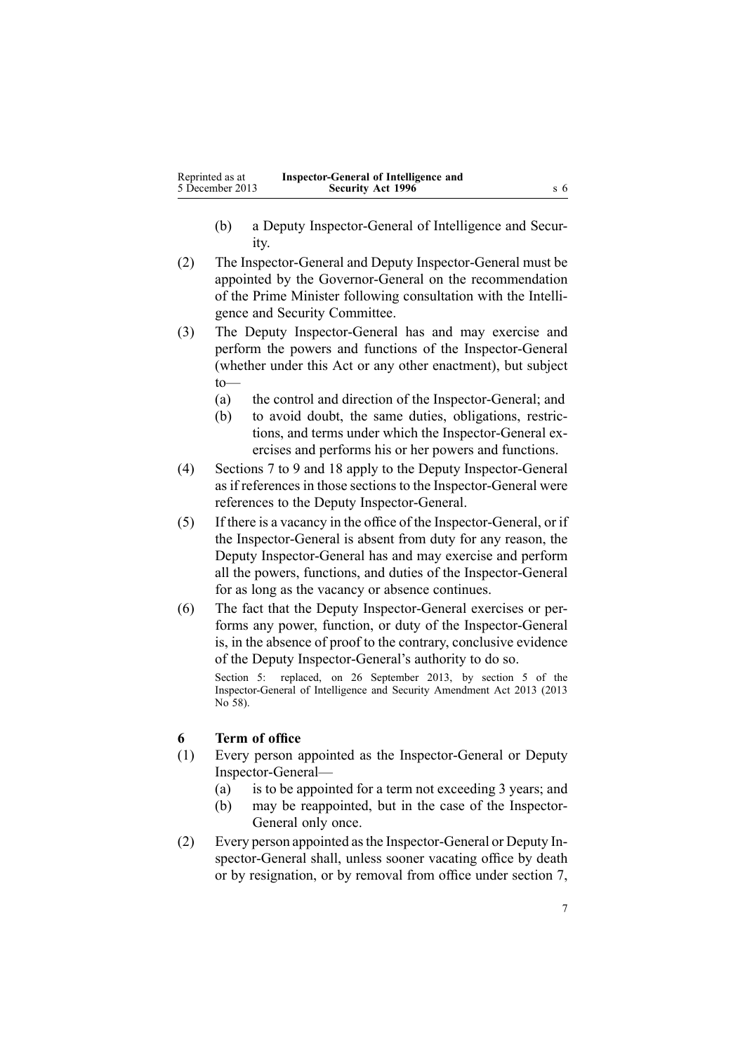- <span id="page-6-0"></span>(b) <sup>a</sup> Deputy Inspector-General of Intelligence and Security.
- (2) The Inspector-General and Deputy Inspector-General must be appointed by the Governor-General on the recommendation of the Prime Minister following consultation with the Intelligence and Security Committee.
- (3) The Deputy Inspector-General has and may exercise and perform the powers and functions of the Inspector-General (whether under this Act or any other enactment), but subject to—
	- (a) the control and direction of the Inspector-General; and
	- (b) to avoid doubt, the same duties, obligations, restrictions, and terms under which the Inspector-General exercises and performs his or her powers and functions.
- (4) [Sections](#page-7-0) 7 to 9 and [18](#page-16-0) apply to the Deputy Inspector-General as if references in those sections to the Inspector-General were references to the Deputy Inspector-General.
- (5) If there is <sup>a</sup> vacancy in the office of the Inspector-General, or if the Inspector-General is absent from duty for any reason, the Deputy Inspector-General has and may exercise and perform all the powers, functions, and duties of the Inspector-General for as long as the vacancy or absence continues.
- (6) The fact that the Deputy Inspector-General exercises or performs any power, function, or duty of the Inspector-General is, in the absence of proof to the contrary, conclusive evidence of the Deputy Inspector-General's authority to do so.

Section 5: replaced, on 26 September 2013, by [section](http://www.legislation.govt.nz/pdflink.aspx?id=DLM5495916) 5 of the Inspector-General of Intelligence and Security Amendment Act 2013 (2013 No 58).

## **6 Term of office**

- (1) Every person appointed as the Inspector-General or Deputy Inspector-General—
	- (a) is to be appointed for <sup>a</sup> term not exceeding 3 years; and
	- (b) may be reappointed, but in the case of the Inspector-General only once.
- (2) Every person appointed asthe Inspector-General or Deputy Inspector-General shall, unless sooner vacating office by death or by resignation, or by removal from office under [section](#page-7-0) 7,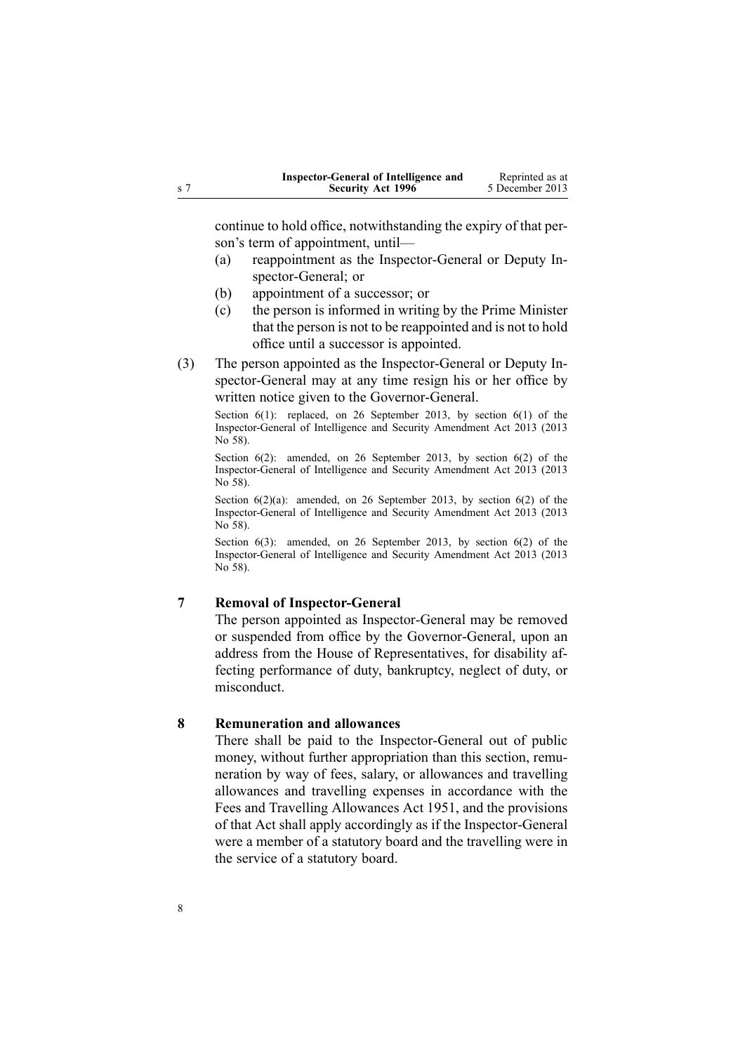<span id="page-7-0"></span>

| Inspector-General of Intelligence and | Reprinted as at |
|---------------------------------------|-----------------|
| <b>Security Act 1996</b>              | 5 December 2013 |

continue to hold office, notwithstanding the expiry of that person's term of appointment, until—

- (a) reappointment as the Inspector-General or Deputy Inspector-General; or
- (b) appointment of <sup>a</sup> successor; or
- (c) the person is informed in writing by the Prime Minister that the person is not to be reappointed and is not to hold office until <sup>a</sup> successor is appointed.
- (3) The person appointed as the Inspector-General or Deputy Inspector-General may at any time resign his or her office by written notice given to the Governor-General.

Section 6(1): replaced, on 26 September 2013, by [section](http://www.legislation.govt.nz/pdflink.aspx?id=DLM5495919) 6(1) of the Inspector-General of Intelligence and Security Amendment Act 2013 (2013 No 58).

Section 6(2): amended, on 26 September 2013, by [section](http://www.legislation.govt.nz/pdflink.aspx?id=DLM5495919) 6(2) of the Inspector-General of Intelligence and Security Amendment Act 2013 (2013 No 58).

Section  $6(2)(a)$ : amended, on 26 September 2013, by [section](http://www.legislation.govt.nz/pdflink.aspx?id=DLM5495919)  $6(2)$  of the Inspector-General of Intelligence and Security Amendment Act 2013 (2013 No 58).

Section 6(3): amended, on 26 September 2013, by [section](http://www.legislation.govt.nz/pdflink.aspx?id=DLM5495919) 6(2) of the Inspector-General of Intelligence and Security Amendment Act 2013 (2013 No 58).

# **7 Removal of Inspector-General**

The person appointed as Inspector-General may be removed or suspended from office by the Governor-General, upon an address from the House of Representatives, for disability affecting performance of duty, bankruptcy, neglect of duty, or misconduct.

### **8 Remuneration and allowances**

There shall be paid to the Inspector-General out of public money, without further appropriation than this section, remuneration by way of fees, salary, or allowances and travelling allowances and travelling expenses in accordance with the Fees and [Travelling](http://www.legislation.govt.nz/pdflink.aspx?id=DLM264952) Allowances Act 1951, and the provisions of that Act shall apply accordingly as if the Inspector-General were <sup>a</sup> member of <sup>a</sup> statutory board and the travelling were in the service of <sup>a</sup> statutory board.

8

 ${\bf S}$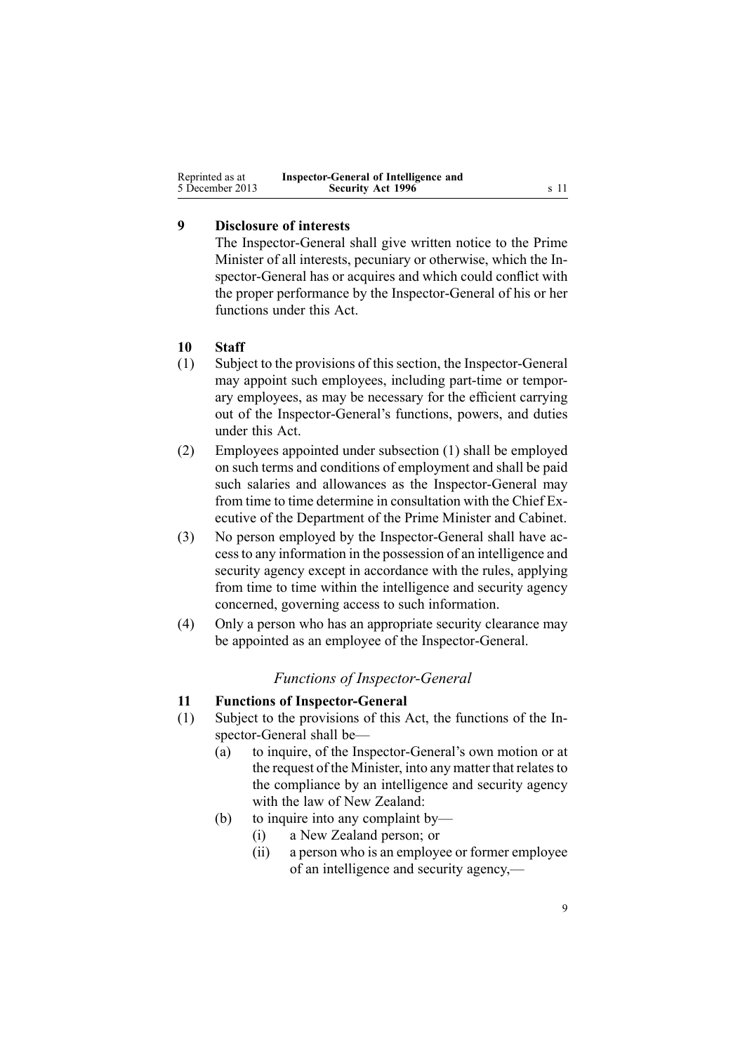<span id="page-8-0"></span>

| Reprinted as at | Inspector-General of Intelligence and |      |
|-----------------|---------------------------------------|------|
| 5 December 2013 | <b>Security Act 1996</b>              | s 11 |

# **9 Disclosure of interests**

The Inspector-General shall give written notice to the Prime Minister of all interests, pecuniary or otherwise, which the Inspector-General has or acquires and which could conflict with the proper performance by the Inspector-General of his or her functions under this Act.

## **10 Staff**

- (1) Subject to the provisions of this section, the Inspector-General may appoint such employees, including part-time or temporary employees, as may be necessary for the efficient carrying out of the Inspector-General's functions, powers, and duties under this Act.
- (2) Employees appointed under subsection (1) shall be employed on such terms and conditions of employment and shall be paid such salaries and allowances as the Inspector-General may from time to time determine in consultation with the Chief Executive of the Department of the Prime Minister and Cabinet.
- (3) No person employed by the Inspector-General shall have accessto any information in the possession of an intelligence and security agency excep<sup>t</sup> in accordance with the rules, applying from time to time within the intelligence and security agency concerned, governing access to such information.
- (4) Only <sup>a</sup> person who has an appropriate security clearance may be appointed as an employee of the Inspector-General.

# *Functions of Inspector-General*

### **11 Functions of Inspector-General**

- (1) Subject to the provisions of this Act, the functions of the Inspector-General shall be—
	- (a) to inquire, of the Inspector-General's own motion or at the request of the Minister, into any matter that relates to the compliance by an intelligence and security agency with the law of New Zealand:
	- (b) to inquire into any complaint by—
		- (i) <sup>a</sup> New Zealand person; or
		- (ii) <sup>a</sup> person who is an employee or former employee of an intelligence and security agency,—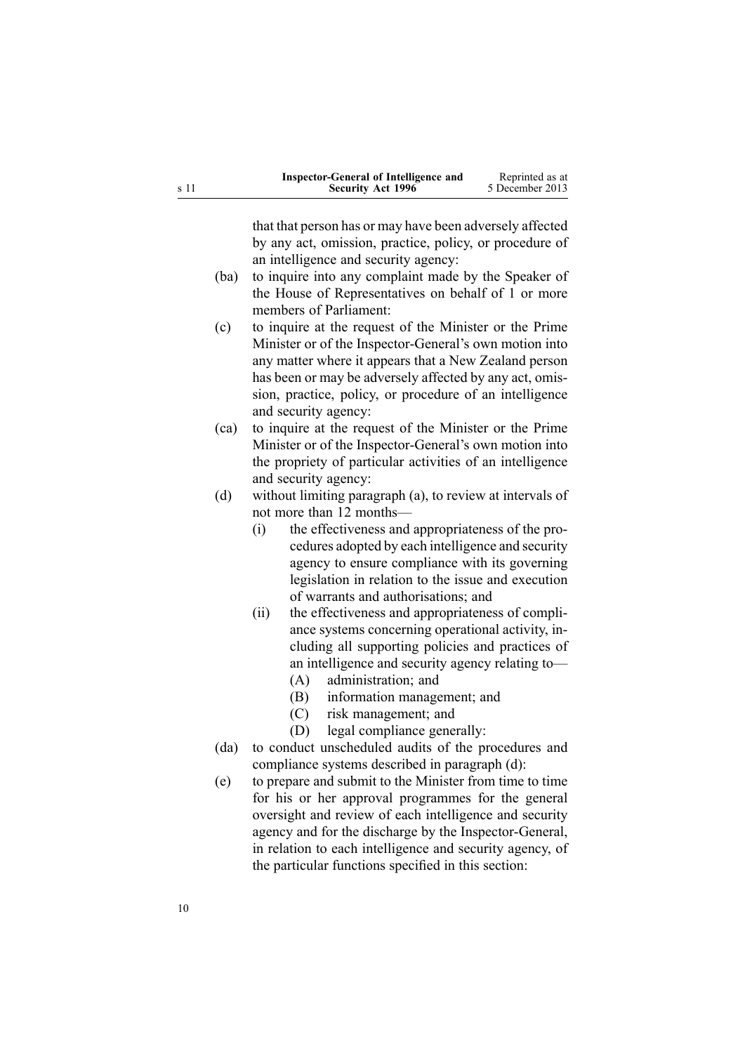| Inspector-General of Intelligence and | Reprinted as at |
|---------------------------------------|-----------------|
| <b>Security Act 1996</b>              | 5 December 2013 |

that that person has or may have been adversely affected by any act, omission, practice, policy, or procedure of an intelligence and security agency:

- (ba) to inquire into any complaint made by the Speaker of the House of Representatives on behalf of 1 or more members of Parliament:
- (c) to inquire at the reques<sup>t</sup> of the Minister or the Prime Minister or of the Inspector-General's own motion into any matter where it appears that <sup>a</sup> New Zealand person has been or may be adversely affected by any act, omission, practice, policy, or procedure of an intelligence and security agency:
- (ca) to inquire at the reques<sup>t</sup> of the Minister or the Prime Minister or of the Inspector-General's own motion into the propriety of particular activities of an intelligence and security agency:
- (d) without limiting paragraph (a), to review at intervals of not more than 12 months—
	- (i) the effectiveness and appropriateness of the procedures adopted by each intelligence and security agency to ensure compliance with its governing legislation in relation to the issue and execution of warrants and authorisations; and
	- (ii) the effectiveness and appropriateness of compliance systems concerning operational activity, including all supporting policies and practices of an intelligence and security agency relating to—
		- (A) administration; and
		- (B) information management; and
		- (C) risk management; and
		- (D) legal compliance generally:
- (da) to conduct unscheduled audits of the procedures and compliance systems described in paragraph (d):
- (e) to prepare and submit to the Minister from time to time for his or her approval programmes for the general oversight and review of each intelligence and security agency and for the discharge by the Inspector-General, in relation to each intelligence and security agency, of the particular functions specified in this section: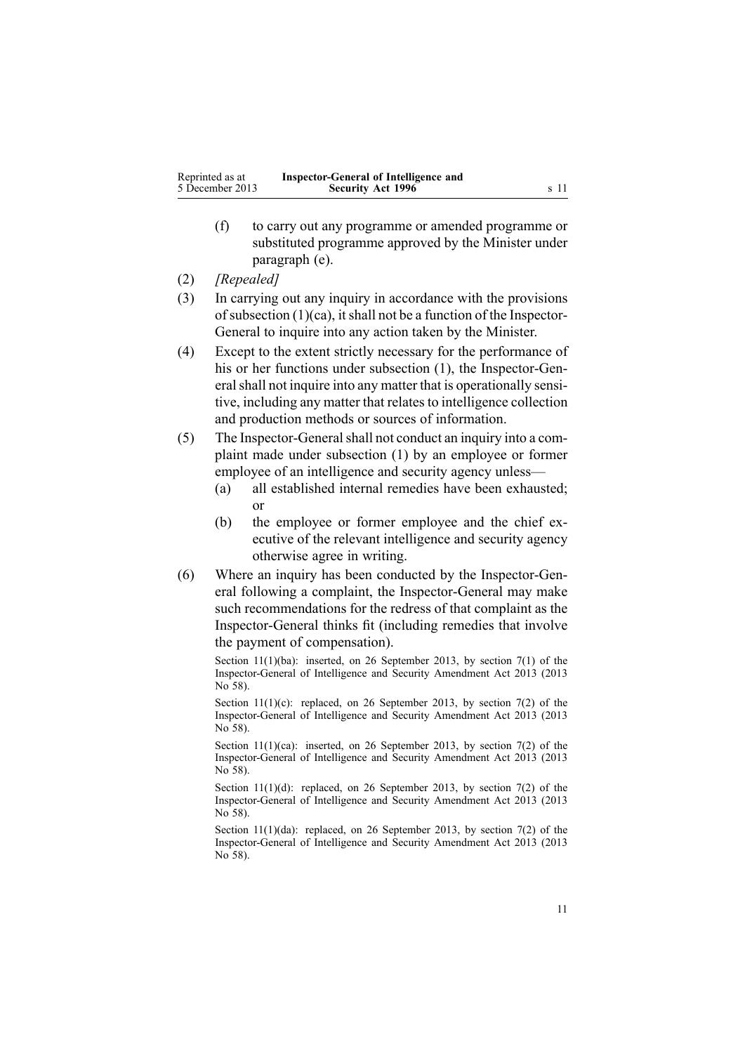- (f) to carry out any programme or amended programme or substituted programme approved by the Minister under paragraph (e).
- (2) *[Repealed]*
- (3) In carrying out any inquiry in accordance with the provisions of subsection  $(1)(ca)$ , it shall not be a function of the Inspector-General to inquire into any action taken by the Minister.
- (4) Except to the extent strictly necessary for the performance of his or her functions under subsection (1), the Inspector-General shall not inquire into any matter that is operationally sensitive, including any matter that relates to intelligence collection and production methods or sources of information.
- (5) The Inspector-Generalshall not conduct an inquiry into <sup>a</sup> complaint made under subsection (1) by an employee or former employee of an intelligence and security agency unless—
	- (a) all established internal remedies have been exhausted; or
	- (b) the employee or former employee and the chief executive of the relevant intelligence and security agency otherwise agree in writing.
- (6) Where an inquiry has been conducted by the Inspector-General following <sup>a</sup> complaint, the Inspector-General may make such recommendations for the redress of that complaint as the Inspector-General thinks fit (including remedies that involve the paymen<sup>t</sup> of compensation).

Section  $11(1)(ba)$ : inserted, on 26 September 2013, by [section](http://www.legislation.govt.nz/pdflink.aspx?id=DLM5495920) 7(1) of the Inspector-General of Intelligence and Security Amendment Act 2013 (2013 No 58).

Section 11(1)(c): replaced, on 26 September 2013, by [section](http://www.legislation.govt.nz/pdflink.aspx?id=DLM5495920) 7(2) of the Inspector-General of Intelligence and Security Amendment Act 2013 (2013 No 58).

Section 11(1)(ca): inserted, on 26 September 2013, by [section](http://www.legislation.govt.nz/pdflink.aspx?id=DLM5495920) 7(2) of the Inspector-General of Intelligence and Security Amendment Act 2013 (2013 No 58).

Section  $11(1)(d)$ : replaced, on 26 September 2013, by [section](http://www.legislation.govt.nz/pdflink.aspx?id=DLM5495920) 7(2) of the Inspector-General of Intelligence and Security Amendment Act 2013 (2013 No 58).

Section 11(1)(da): replaced, on 26 September 2013, by [section](http://www.legislation.govt.nz/pdflink.aspx?id=DLM5495920) 7(2) of the Inspector-General of Intelligence and Security Amendment Act 2013 (2013 No 58).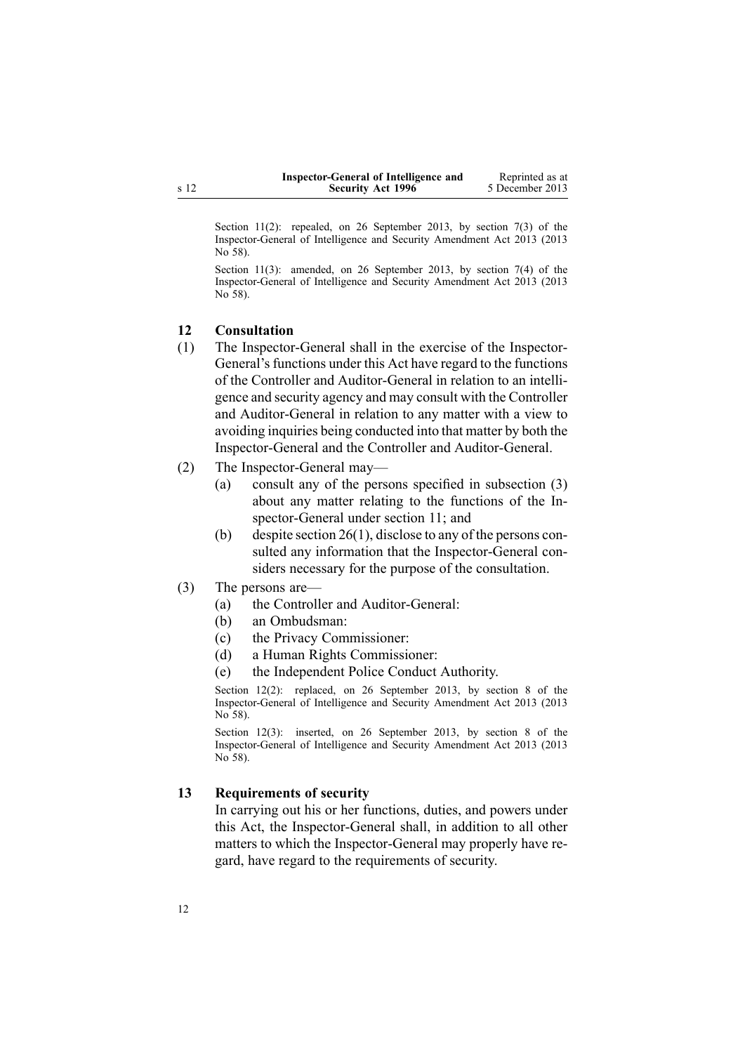| Inspector-General of Intelligence and | Reprinted as at |
|---------------------------------------|-----------------|
| <b>Security Act 1996</b>              | 5 December 2013 |

<span id="page-11-0"></span>Section 11(2): repealed, on 26 September 2013, by [section](http://www.legislation.govt.nz/pdflink.aspx?id=DLM5495920) 7(3) of the Inspector-General of Intelligence and Security Amendment Act 2013 (2013 No 58).

Section 11(3): amended, on 26 September 2013, by [section](http://www.legislation.govt.nz/pdflink.aspx?id=DLM5495920) 7(4) of the Inspector-General of Intelligence and Security Amendment Act 2013 (2013 No 58).

#### **12 Consultation**

- (1) The Inspector-General shall in the exercise of the Inspector-General's functions under this Act have regard to the functions of the Controller and Auditor-General in relation to an intelligence and security agency and may consult with the Controller and Auditor-General in relation to any matter with <sup>a</sup> view to avoiding inquiries being conducted into that matter by both the Inspector-General and the Controller and Auditor-General.
- (2) The Inspector-General may—
	- (a) consult any of the persons specified in subsection (3) about any matter relating to the functions of the Inspector-General under [section](#page-8-0) 11; and
	- (b) despite [section](http://www.legislation.govt.nz/pdflink.aspx?id=DLM392545) 26(1), disclose to any of the persons consulted any information that the Inspector-General considers necessary for the purpose of the consultation.
- (3) The persons are—
	- (a) the Controller and Auditor-General:
	- (b) an Ombudsman:
	- (c) the Privacy Commissioner:
	- (d) <sup>a</sup> Human Rights Commissioner:
	- (e) the Independent Police Conduct Authority.

Section 12(2): replaced, on 26 September 2013, by [section](http://www.legislation.govt.nz/pdflink.aspx?id=DLM5495921) 8 of the Inspector-General of Intelligence and Security Amendment Act 2013 (2013 No 58).

Section 12(3): inserted, on 26 September 2013, by [section](http://www.legislation.govt.nz/pdflink.aspx?id=DLM5495921) 8 of the Inspector-General of Intelligence and Security Amendment Act 2013 (2013 No 58).

#### **13 Requirements of security**

In carrying out his or her functions, duties, and powers under this Act, the Inspector-General shall, in addition to all other matters to which the Inspector-General may properly have regard, have regard to the requirements of security.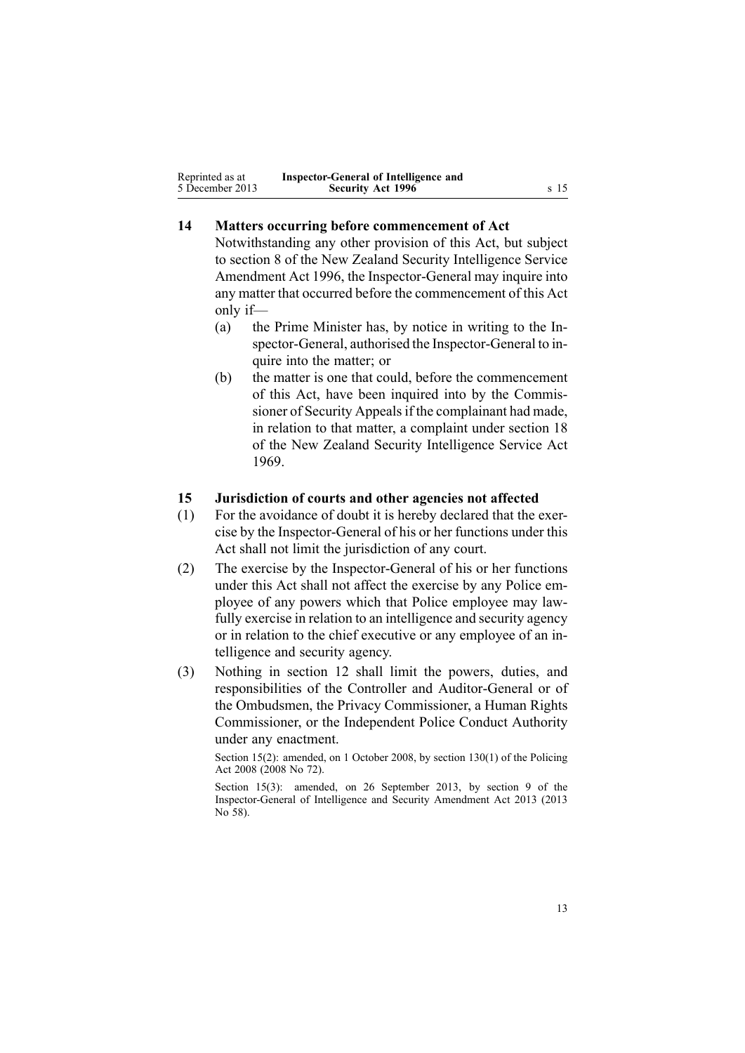<span id="page-12-0"></span>

| Reprinted as at | Inspector-General of Intelligence and |      |
|-----------------|---------------------------------------|------|
| 5 December 2013 | <b>Security Act 1996</b>              | s 15 |

# **14 Matters occurring before commencement of Act**

Notwithstanding any other provision of this Act, but subject to [section](http://www.legislation.govt.nz/pdflink.aspx?id=DLM392574) 8 of the New Zealand Security Intelligence Service Amendment Act 1996, the Inspector-General may inquire into any matter that occurred before the commencement of this Act only if—

- (a) the Prime Minister has, by notice in writing to the Inspector-General, authorised the Inspector-General to inquire into the matter; or
- (b) the matter is one that could, before the commencement of this Act, have been inquired into by the Commissioner of Security Appeals if the complainant had made, in relation to that matter, <sup>a</sup> complaint under [section](http://www.legislation.govt.nz/pdflink.aspx?id=DLM392033) 18 of the New Zealand Security Intelligence Service Act 1969.

### **15 Jurisdiction of courts and other agencies not affected**

- (1) For the avoidance of doubt it is hereby declared that the exercise by the Inspector-General of his or her functions under this Act shall not limit the jurisdiction of any court.
- (2) The exercise by the Inspector-General of his or her functions under this Act shall not affect the exercise by any Police employee of any powers which that Police employee may lawfully exercise in relation to an intelligence and security agency or in relation to the chief executive or any employee of an intelligence and security agency.
- (3) Nothing in [section](#page-11-0) 12 shall limit the powers, duties, and responsibilities of the Controller and Auditor-General or of the Ombudsmen, the Privacy Commissioner, <sup>a</sup> Human Rights Commissioner, or the Independent Police Conduct Authority under any enactment.

Section 15(2): amended, on 1 October 2008, by section [130\(1\)](http://www.legislation.govt.nz/pdflink.aspx?id=DLM1102383) of the Policing Act 2008 (2008 No 72).

Section 15(3): amended, on 26 September 2013, by [section](http://www.legislation.govt.nz/pdflink.aspx?id=DLM5495922) 9 of the Inspector-General of Intelligence and Security Amendment Act 2013 (2013 No 58).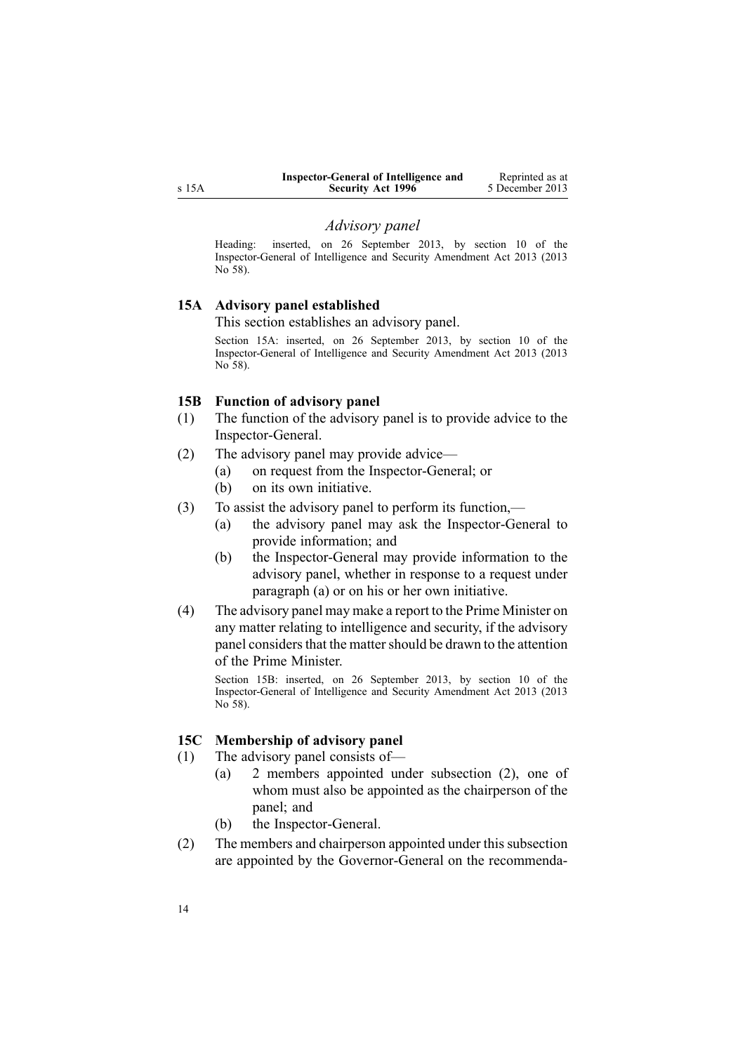<span id="page-13-0"></span>

| Inspector-General of Intelligence and | Reprinted as at |
|---------------------------------------|-----------------|
| <b>Security Act 1996</b>              | 5 December 2013 |

#### *Advisory panel*

Heading: inserted, on 26 September 2013, by [section](http://www.legislation.govt.nz/pdflink.aspx?id=DLM5495923) 10 of the Inspector-General of Intelligence and Security Amendment Act 2013 (2013 No 58).

### **15A Advisory panel established**

This section establishes an advisory panel.

Section 15A: inserted, on 26 September 2013, by [section](http://www.legislation.govt.nz/pdflink.aspx?id=DLM5495923) 10 of the Inspector-General of Intelligence and Security Amendment Act 2013 (2013 No 58).

#### **15B Function of advisory panel**

- (1) The function of the advisory panel is to provide advice to the Inspector-General.
- (2) The advisory panel may provide advice—
	- (a) on reques<sup>t</sup> from the Inspector-General; or
	- (b) on its own initiative.
- (3) To assist the advisory panel to perform its function,—
	- (a) the advisory panel may ask the Inspector-General to provide information; and
	- (b) the Inspector-General may provide information to the advisory panel, whether in response to <sup>a</sup> reques<sup>t</sup> under paragraph (a) or on his or her own initiative.
- (4) The advisory panel may make <sup>a</sup> repor<sup>t</sup> to the Prime Minister on any matter relating to intelligence and security, if the advisory panel considers that the matter should be drawn to the attention of the Prime Minister.

Section 15B: inserted, on 26 September 2013, by [section](http://www.legislation.govt.nz/pdflink.aspx?id=DLM5495923) 10 of the Inspector-General of Intelligence and Security Amendment Act 2013 (2013 No 58).

### **15C Membership of advisory panel**

- (1) The advisory panel consists of—
	- (a) 2 members appointed under subsection (2), one of whom must also be appointed as the chairperson of the panel; and
	- (b) the Inspector-General.
- (2) The members and chairperson appointed under this subsection are appointed by the Governor-General on the recommenda-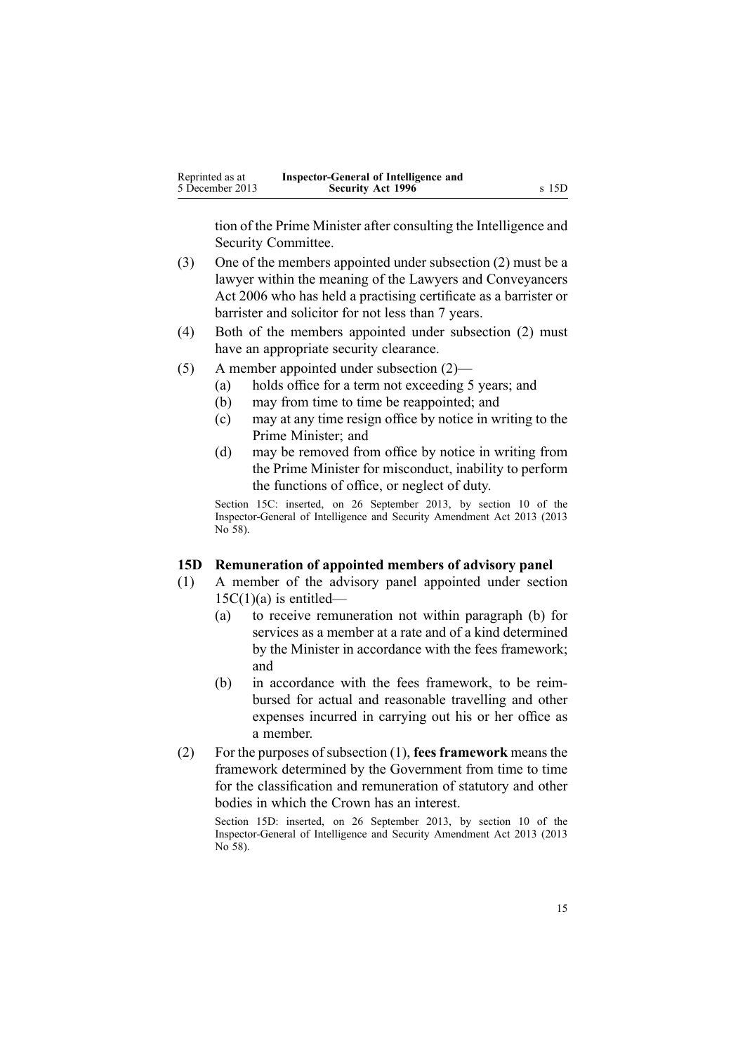<span id="page-14-0"></span>tion of the Prime Minister after consulting the Intelligence and Security Committee.

- (3) One of the members appointed under subsection (2) must be <sup>a</sup> lawyer within the meaning of the Lawyers and [Conveyancers](http://www.legislation.govt.nz/pdflink.aspx?id=DLM364938) Act [2006](http://www.legislation.govt.nz/pdflink.aspx?id=DLM364938) who has held <sup>a</sup> practising certificate as <sup>a</sup> barrister or barrister and solicitor for not less than 7 years.
- (4) Both of the members appointed under subsection (2) must have an appropriate security clearance.
- (5) A member appointed under subsection (2)—
	- (a) holds office for <sup>a</sup> term not exceeding 5 years; and
	- (b) may from time to time be reappointed; and
	- (c) may at any time resign office by notice in writing to the Prime Minister; and
	- (d) may be removed from office by notice in writing from the Prime Minister for misconduct, inability to perform the functions of office, or neglect of duty.

Section 15C: inserted, on 26 September 2013, by [section](http://www.legislation.govt.nz/pdflink.aspx?id=DLM5495923) 10 of the Inspector-General of Intelligence and Security Amendment Act 2013 (2013 No 58).

#### **15D Remuneration of appointed members of advisory panel**

- (1) A member of the advisory panel appointed under [section](#page-13-0)  $15C(1)(a)$  is entitled—
	- (a) to receive remuneration not within paragraph (b) for services as <sup>a</sup> member at <sup>a</sup> rate and of <sup>a</sup> kind determined by the Minister in accordance with the fees framework; and
	- (b) in accordance with the fees framework, to be reimbursed for actual and reasonable travelling and other expenses incurred in carrying out his or her office as <sup>a</sup> member.
- (2) For the purposes of subsection (1), **fees framework** means the framework determined by the Government from time to time for the classification and remuneration of statutory and other bodies in which the Crown has an interest.

Section 15D: inserted, on 26 September 2013, by [section](http://www.legislation.govt.nz/pdflink.aspx?id=DLM5495923) 10 of the Inspector-General of Intelligence and Security Amendment Act 2013 (2013 No 58).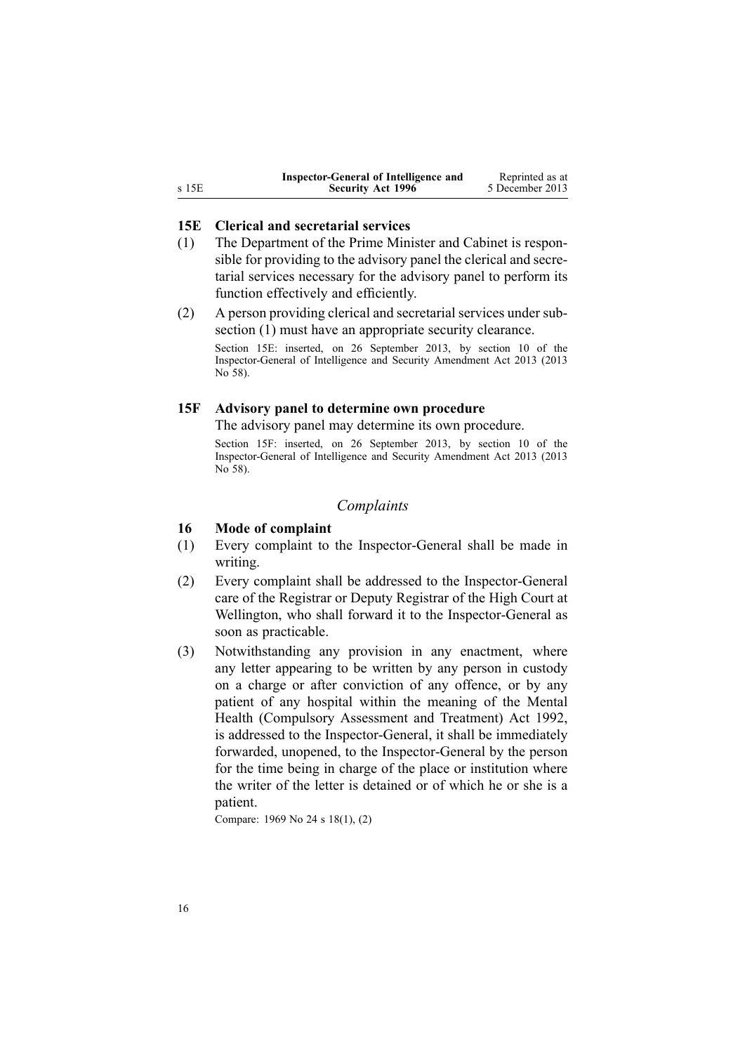<span id="page-15-0"></span>

|       | Inspector-General of Intelligence and | Reprinted as at |
|-------|---------------------------------------|-----------------|
| s 15E | <b>Security Act 1996</b>              | 5 December 2013 |

### **15E Clerical and secretarial services**

- (1) The Department of the Prime Minister and Cabinet is responsible for providing to the advisory panel the clerical and secretarial services necessary for the advisory panel to perform its function effectively and efficiently.
- (2) A person providing clerical and secretarial services under subsection (1) must have an appropriate security clearance.

Section 15E: inserted, on 26 September 2013, by [section](http://www.legislation.govt.nz/pdflink.aspx?id=DLM5495923) 10 of the Inspector-General of Intelligence and Security Amendment Act 2013 (2013 No 58).

#### **15F Advisory panel to determine own procedure**

The advisory panel may determine its own procedure.

Section 15F: inserted, on 26 September 2013, by [section](http://www.legislation.govt.nz/pdflink.aspx?id=DLM5495923) 10 of the Inspector-General of Intelligence and Security Amendment Act 2013 (2013 No 58).

### *Complaints*

### **16 Mode of complaint**

- (1) Every complaint to the Inspector-General shall be made in writing.
- (2) Every complaint shall be addressed to the Inspector-General care of the Registrar or Deputy Registrar of the High Court at Wellington, who shall forward it to the Inspector-General as soon as practicable.
- (3) Notwithstanding any provision in any enactment, where any letter appearing to be written by any person in custody on <sup>a</sup> charge or after conviction of any offence, or by any patient of any hospital within the meaning of the [Mental](http://www.legislation.govt.nz/pdflink.aspx?id=DLM262706) Health [\(Compulsory](http://www.legislation.govt.nz/pdflink.aspx?id=DLM262706) Assessment and Treatment) Act 1992, is addressed to the Inspector-General, it shall be immediately forwarded, unopened, to the Inspector-General by the person for the time being in charge of the place or institution where the writer of the letter is detained or of which he or she is <sup>a</sup> patient.

Compare: 1969 No 24 <sup>s</sup> [18\(1\),](http://www.legislation.govt.nz/pdflink.aspx?id=DLM392033) (2)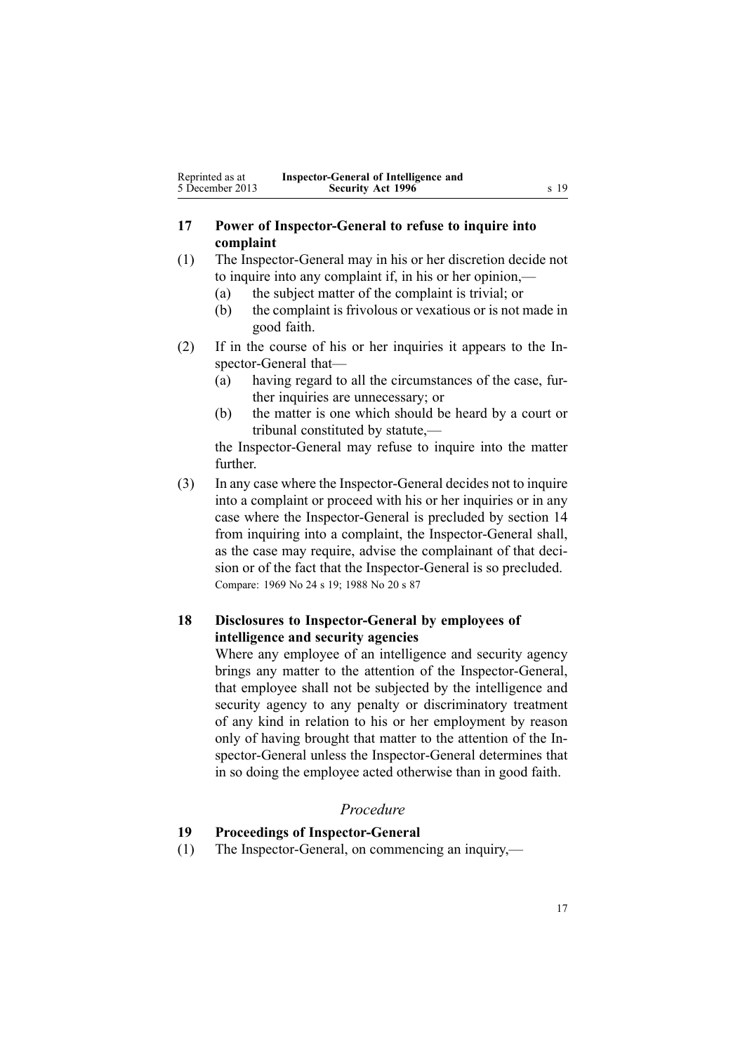# <span id="page-16-0"></span>**17 Power of Inspector-General to refuse to inquire into complaint**

- (1) The Inspector-General may in his or her discretion decide not to inquire into any complaint if, in his or her opinion,—
	- (a) the subject matter of the complaint is trivial; or
	- (b) the complaint is frivolous or vexatious or is not made in good faith.
- (2) If in the course of his or her inquiries it appears to the Inspector-General that—
	- (a) having regard to all the circumstances of the case, further inquiries are unnecessary; or
	- (b) the matter is one which should be heard by <sup>a</sup> court or tribunal constituted by statute,—

the Inspector-General may refuse to inquire into the matter further.

(3) In any case where the Inspector-General decides not to inquire into <sup>a</sup> complaint or proceed with his or her inquiries or in any case where the Inspector-General is precluded by [section](#page-12-0) 14 from inquiring into <sup>a</sup> complaint, the Inspector-General shall, as the case may require, advise the complainant of that decision or of the fact that the Inspector-General is so precluded. Compare: 1969 No 24 <sup>s</sup> [19](http://www.legislation.govt.nz/pdflink.aspx?id=DLM392036); 1988 No 20 <sup>s</sup> [87](http://www.legislation.govt.nz/pdflink.aspx?id=DLM130374)

# **18 Disclosures to Inspector-General by employees of intelligence and security agencies**

Where any employee of an intelligence and security agency brings any matter to the attention of the Inspector-General, that employee shall not be subjected by the intelligence and security agency to any penalty or discriminatory treatment of any kind in relation to his or her employment by reason only of having brought that matter to the attention of the Inspector-General unless the Inspector-General determines that in so doing the employee acted otherwise than in good faith.

### *Procedure*

# **19 Proceedings of Inspector-General**

(1) The Inspector-General, on commencing an inquiry,—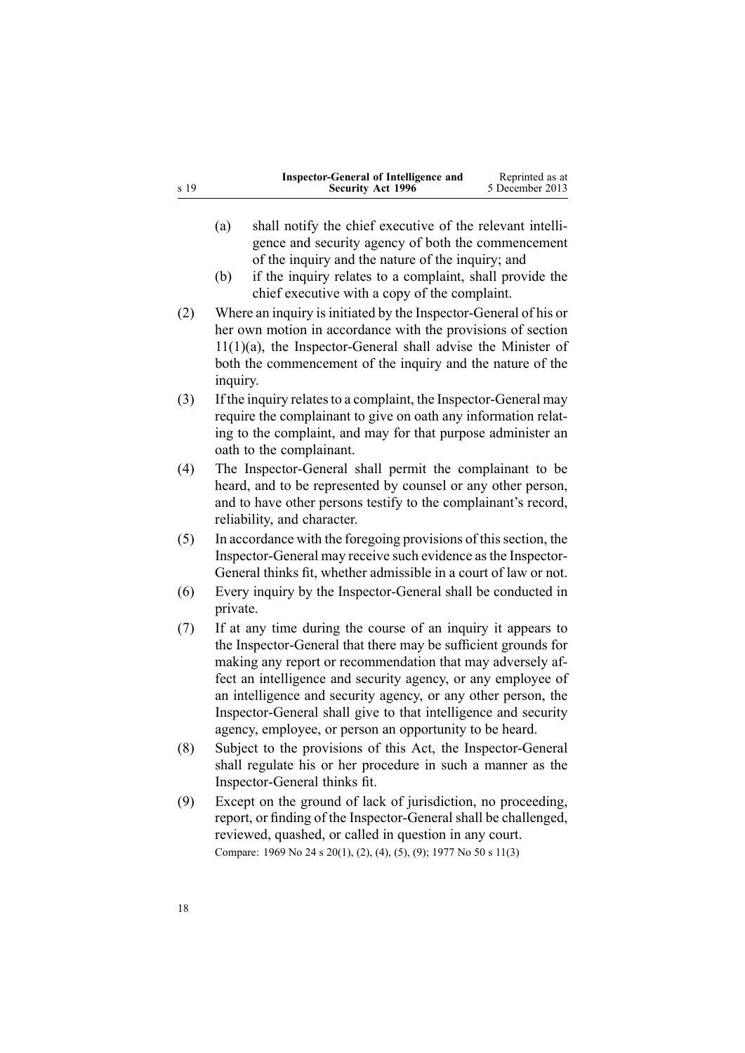|      | Inspector-General of Intelligence and | Reprinted as at |
|------|---------------------------------------|-----------------|
| s 19 | <b>Security Act 1996</b>              | 5 December 2013 |

- (a) shall notify the chief executive of the relevant intelligence and security agency of both the commencement of the inquiry and the nature of the inquiry; and
- (b) if the inquiry relates to <sup>a</sup> complaint, shall provide the chief executive with <sup>a</sup> copy of the complaint.
- (2) Where an inquiry is initiated by the Inspector-General of his or her own motion in accordance with the provisions of [section](#page-8-0)  $11(1)(a)$ , the Inspector-General shall advise the Minister of both the commencement of the inquiry and the nature of the inquiry.
- (3) If the inquiry relatesto <sup>a</sup> complaint, the Inspector-General may require the complainant to give on oath any information relating to the complaint, and may for that purpose administer an oath to the complainant.
- (4) The Inspector-General shall permit the complainant to be heard, and to be represented by counsel or any other person, and to have other persons testify to the complainant's record, reliability, and character.
- $(5)$  In accordance with the foregoing provisions of this section, the Inspector-General may receive such evidence asthe Inspector-General thinks fit, whether admissible in <sup>a</sup> court of law or not.
- (6) Every inquiry by the Inspector-General shall be conducted in private.
- (7) If at any time during the course of an inquiry it appears to the Inspector-General that there may be sufficient grounds for making any repor<sup>t</sup> or recommendation that may adversely affect an intelligence and security agency, or any employee of an intelligence and security agency, or any other person, the Inspector-General shall give to that intelligence and security agency, employee, or person an opportunity to be heard.
- (8) Subject to the provisions of this Act, the Inspector-General shall regulate his or her procedure in such <sup>a</sup> manner as the Inspector-General thinks fit.
- (9) Except on the ground of lack of jurisdiction, no proceeding, report, or finding of the Inspector-General shall be challenged, reviewed, quashed, or called in question in any court. Compare: 1969 No 24 <sup>s</sup> [20\(1\),](http://www.legislation.govt.nz/pdflink.aspx?id=DLM392040) (2), (4), (5), (9); 1977 No 50 <sup>s</sup> 11(3)

18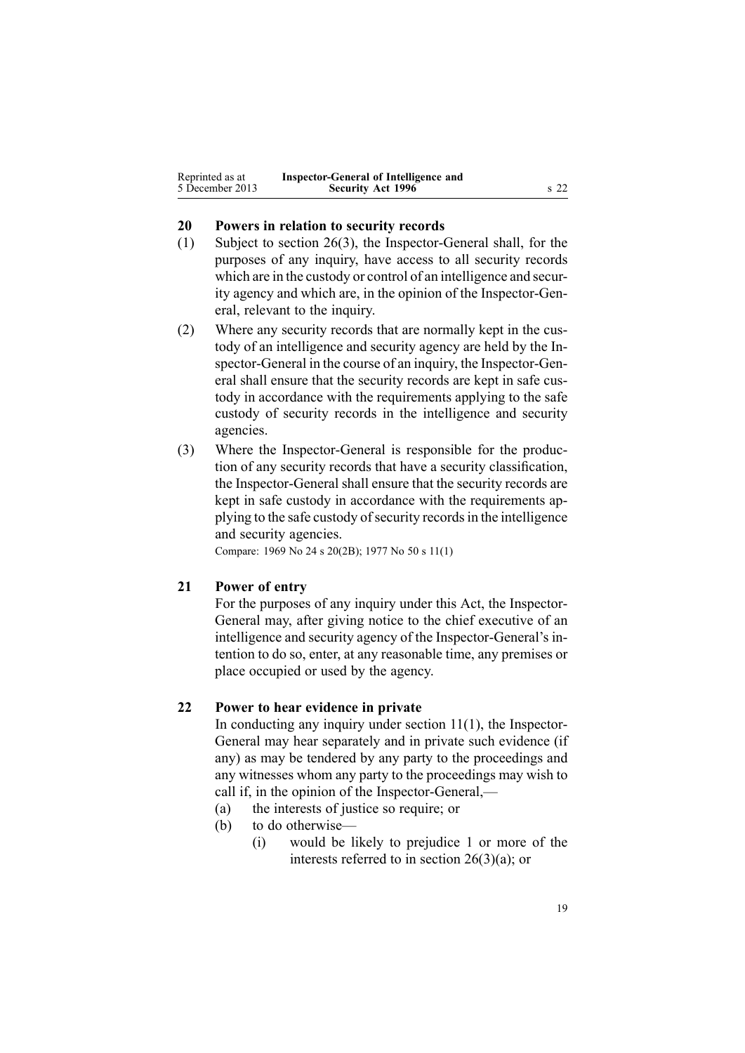<span id="page-18-0"></span>

| Reprinted as at | Inspector-General of Intelligence and |                 |
|-----------------|---------------------------------------|-----------------|
| 5 December 2013 | <b>Security Act 1996</b>              | s <sub>22</sub> |

### **20 Powers in relation to security records**

- (1) Subject to [section](#page-24-0) 26(3), the Inspector-General shall, for the purposes of any inquiry, have access to all security records which are in the custody or control of an intelligence and security agency and which are, in the opinion of the Inspector-General, relevant to the inquiry.
- (2) Where any security records that are normally kept in the custody of an intelligence and security agency are held by the Inspector-General in the course of an inquiry, the Inspector-General shall ensure that the security records are kept in safe custody in accordance with the requirements applying to the safe custody of security records in the intelligence and security agencies.
- (3) Where the Inspector-General is responsible for the production of any security records that have <sup>a</sup> security classification, the Inspector-General shall ensure that the security records are kept in safe custody in accordance with the requirements applying to the safe custody of security records in the intelligence and security agencies.

Compare: 1969 No 24 <sup>s</sup> [20\(2B\)](http://www.legislation.govt.nz/pdflink.aspx?id=DLM392040); 1977 No 50 <sup>s</sup> 11(1)

# **21 Power of entry**

For the purposes of any inquiry under this Act, the Inspector-General may, after giving notice to the chief executive of an intelligence and security agency of the Inspector-General's intention to do so, enter, at any reasonable time, any premises or place occupied or used by the agency.

### **22 Power to hear evidence in private**

In conducting any inquiry under [section](#page-8-0)  $11(1)$ , the Inspector-General may hear separately and in private such evidence (if any) as may be tendered by any party to the proceedings and any witnesses whom any party to the proceedings may wish to call if, in the opinion of the Inspector-General,—

- (a) the interests of justice so require; or
- (b) to do otherwise-
	- (i) would be likely to prejudice 1 or more of the interests referred to in section [26\(3\)\(a\)](#page-24-0); or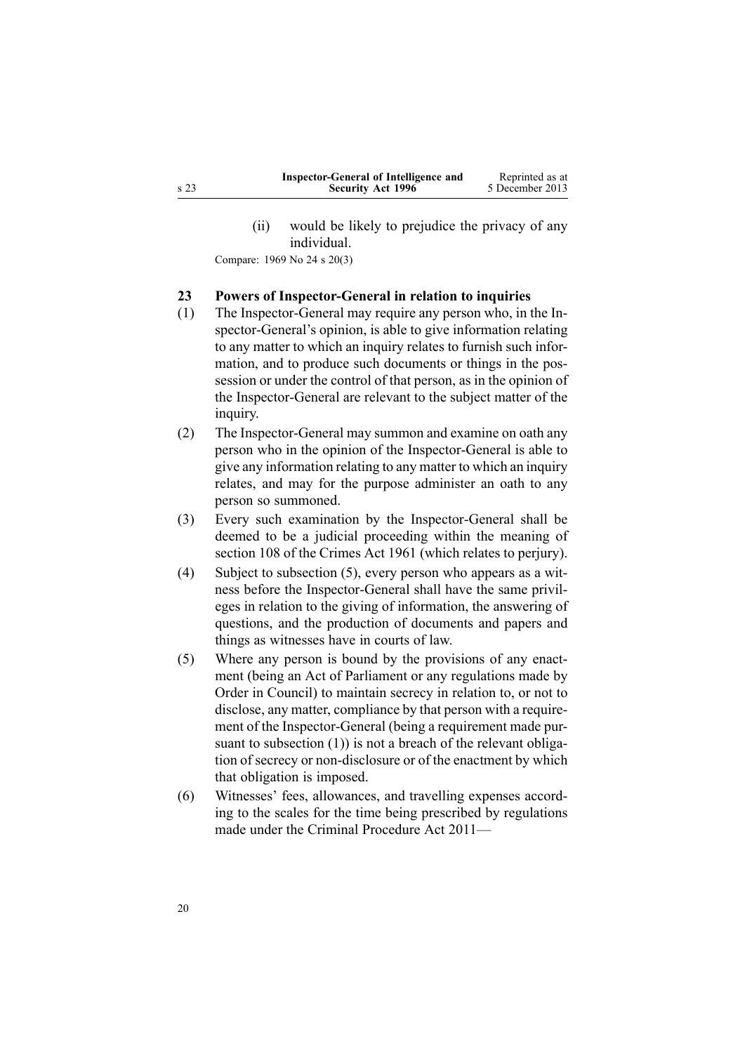(ii) would be likely to prejudice the privacy of any individual.

<span id="page-19-0"></span>Compare: 1969 No 24 <sup>s</sup> [20\(3\)](http://www.legislation.govt.nz/pdflink.aspx?id=DLM392040)

# **23 Powers of Inspector-General in relation to inquiries**

- (1) The Inspector-General may require any person who, in the Inspector-General's opinion, is able to give information relating to any matter to which an inquiry relates to furnish such information, and to produce such documents or things in the possession or under the control of that person, as in the opinion of the Inspector-General are relevant to the subject matter of the inquiry.
- (2) The Inspector-General may summon and examine on oath any person who in the opinion of the Inspector-General is able to give any information relating to any matter to which an inquiry relates, and may for the purpose administer an oath to any person so summoned.
- (3) Every such examination by the Inspector-General shall be deemed to be <sup>a</sup> judicial proceeding within the meaning of [section](http://www.legislation.govt.nz/pdflink.aspx?id=DLM328793) 108 of the Crimes Act 1961 (which relates to perjury).
- (4) Subject to subsection (5), every person who appears as <sup>a</sup> witness before the Inspector-General shall have the same privileges in relation to the giving of information, the answering of questions, and the production of documents and papers and things as witnesses have in courts of law.
- (5) Where any person is bound by the provisions of any enactment (being an Act of Parliament or any regulations made by Order in Council) to maintain secrecy in relation to, or not to disclose, any matter, compliance by that person with <sup>a</sup> requirement of the Inspector-General (being <sup>a</sup> requirement made pursuant to subsection (1)) is not a breach of the relevant obligation of secrecy or non-disclosure or of the enactment by which that obligation is imposed.
- (6) Witnesses' fees, allowances, and travelling expenses according to the scales for the time being prescribed by regulations made under the Criminal [Procedure](http://www.legislation.govt.nz/pdflink.aspx?id=DLM3359902) Act 2011—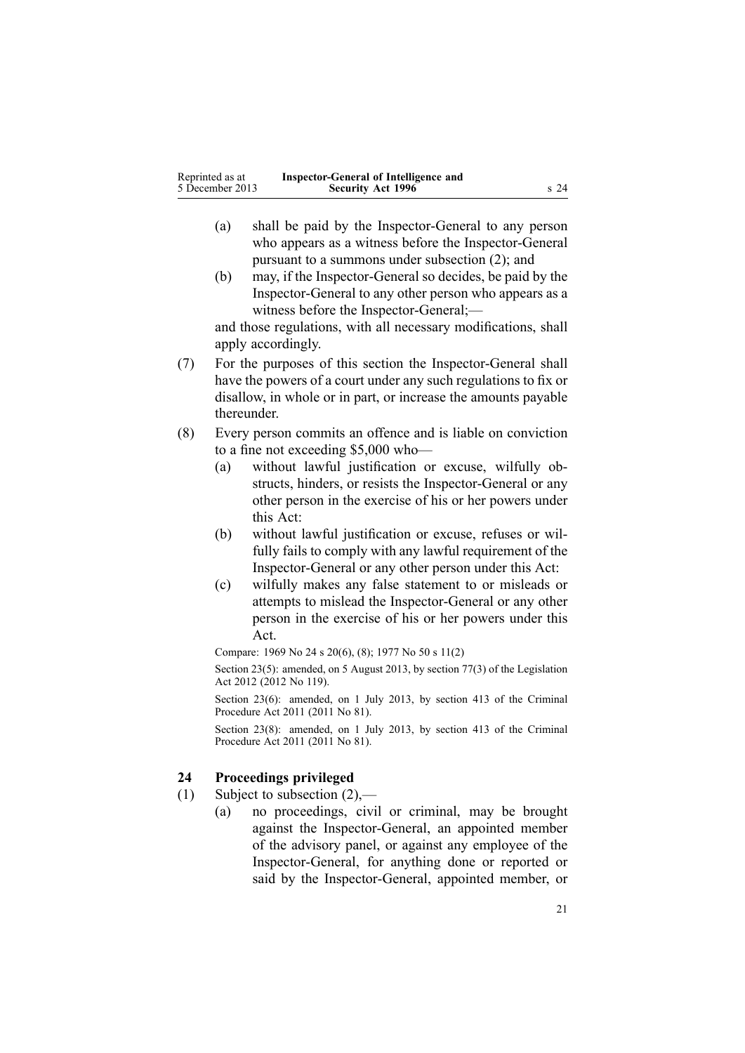<span id="page-20-0"></span>

| Reprinted as at | Inspector-General of Intelligence and |                 |
|-----------------|---------------------------------------|-----------------|
| 5 December 2013 | <b>Security Act 1996</b>              | s <sub>24</sub> |

- (a) shall be paid by the Inspector-General to any person who appears as <sup>a</sup> witness before the Inspector-General pursuan<sup>t</sup> to <sup>a</sup> summons under subsection (2); and
- (b) may, if the Inspector-General so decides, be paid by the Inspector-General to any other person who appears as <sup>a</sup> witness before the Inspector-General;—

and those regulations, with all necessary modifications, shall apply accordingly.

- (7) For the purposes of this section the Inspector-General shall have the powers of <sup>a</sup> court under any such regulations to fix or disallow, in whole or in part, or increase the amounts payable thereunder.
- (8) Every person commits an offence and is liable on conviction to <sup>a</sup> fine not exceeding \$5,000 who—
	- (a) without lawful justification or excuse, wilfully obstructs, hinders, or resists the Inspector-General or any other person in the exercise of his or her powers under this Act:
	- (b) without lawful justification or excuse, refuses or wilfully fails to comply with any lawful requirement of the Inspector-General or any other person under this Act:
	- (c) wilfully makes any false statement to or misleads or attempts to mislead the Inspector-General or any other person in the exercise of his or her powers under this Act.

Compare: 1969 No 24 <sup>s</sup> [20\(6\),](http://www.legislation.govt.nz/pdflink.aspx?id=DLM392040) (8); 1977 No 50 <sup>s</sup> 11(2)

Section 23(5): amended, on 5 August 2013, by [section](http://www.legislation.govt.nz/pdflink.aspx?id=DLM2998633) 77(3) of the Legislation Act 2012 (2012 No 119).

Section 23(6): amended, on 1 July 2013, by [section](http://www.legislation.govt.nz/pdflink.aspx?id=DLM3360714) 413 of the Criminal Procedure Act 2011 (2011 No 81).

Section 23(8): amended, on 1 July 2013, by [section](http://www.legislation.govt.nz/pdflink.aspx?id=DLM3360714) 413 of the Criminal Procedure Act 2011 (2011 No 81).

# **24 Proceedings privileged**

- (1) Subject to subsection (2),—
	- (a) no proceedings, civil or criminal, may be brought against the Inspector-General, an appointed member of the advisory panel, or against any employee of the Inspector-General, for anything done or reported or said by the Inspector-General, appointed member, or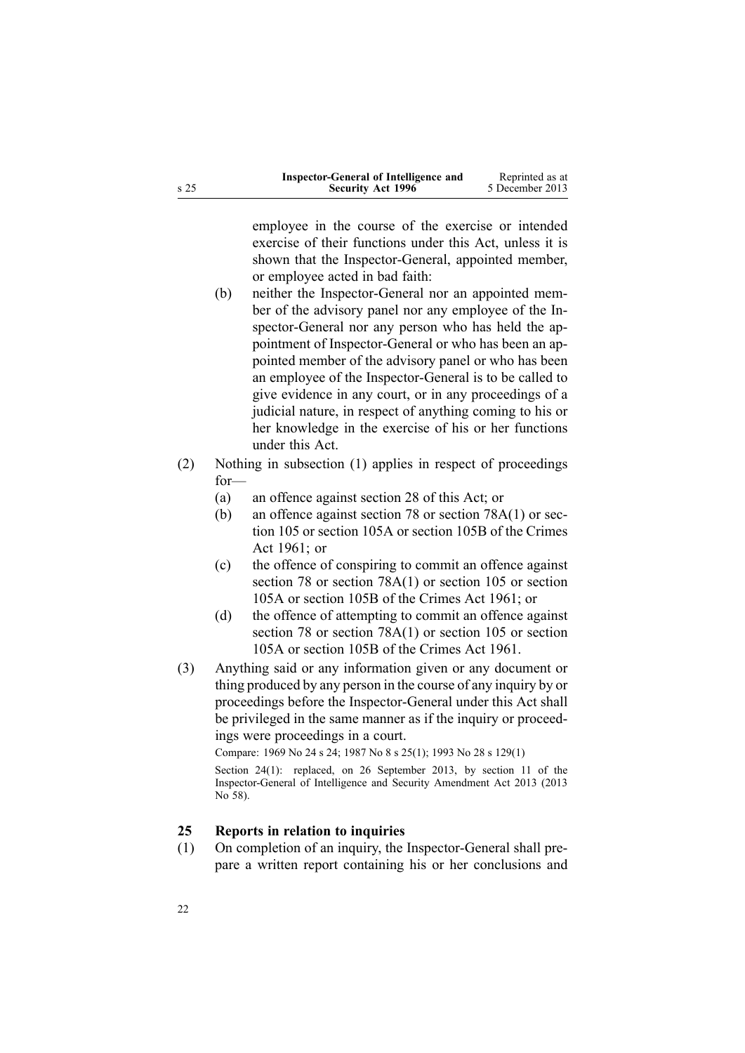<span id="page-21-0"></span>

|      | Inspector-General of Intelligence and | Reprinted as at |
|------|---------------------------------------|-----------------|
| s 25 | <b>Security Act 1996</b>              | 5 December 2013 |

employee in the course of the exercise or intended exercise of their functions under this Act, unless it is shown that the Inspector-General, appointed member, or employee acted in bad faith:

- (b) neither the Inspector-General nor an appointed member of the advisory panel nor any employee of the Inspector-General nor any person who has held the appointment of Inspector-General or who has been an appointed member of the advisory panel or who has been an employee of the Inspector-General is to be called to give evidence in any court, or in any proceedings of <sup>a</sup> judicial nature, in respec<sup>t</sup> of anything coming to his or her knowledge in the exercise of his or her functions under this Act.
- (2) Nothing in subsection (1) applies in respec<sup>t</sup> of proceedings for—
	- (a) an offence against [section](#page-27-0) 28 of this Act; or
	- (b) an offence against [section](http://www.legislation.govt.nz/pdflink.aspx?id=DLM328526) 78 or section [78A\(1\)](http://www.legislation.govt.nz/pdflink.aspx?id=DLM328528) or [sec](http://www.legislation.govt.nz/pdflink.aspx?id=DLM328753)[tion](http://www.legislation.govt.nz/pdflink.aspx?id=DLM328753) 105 or [section](http://www.legislation.govt.nz/pdflink.aspx?id=DLM328755) 105A or [section](http://www.legislation.govt.nz/pdflink.aspx?id=DLM328758) 105B of the Crimes Act 1961; or
	- (c) the offence of conspiring to commit an offence against [section](http://www.legislation.govt.nz/pdflink.aspx?id=DLM328526) 78 or section [78A\(1\)](http://www.legislation.govt.nz/pdflink.aspx?id=DLM328528) or [section](http://www.legislation.govt.nz/pdflink.aspx?id=DLM328753) 105 or [section](http://www.legislation.govt.nz/pdflink.aspx?id=DLM328755) [105A](http://www.legislation.govt.nz/pdflink.aspx?id=DLM328755) or [section](http://www.legislation.govt.nz/pdflink.aspx?id=DLM328758) 105B of the Crimes Act 1961; or
	- (d) the offence of attempting to commit an offence against [section](http://www.legislation.govt.nz/pdflink.aspx?id=DLM328526) 78 or section [78A\(1\)](http://www.legislation.govt.nz/pdflink.aspx?id=DLM328528) or [section](http://www.legislation.govt.nz/pdflink.aspx?id=DLM328753) 105 or [section](http://www.legislation.govt.nz/pdflink.aspx?id=DLM328755) [105A](http://www.legislation.govt.nz/pdflink.aspx?id=DLM328755) or [section](http://www.legislation.govt.nz/pdflink.aspx?id=DLM328758) 105B of the Crimes Act 1961.
- (3) Anything said or any information given or any document or thing produced by any person in the course of any inquiry by or proceedings before the Inspector-General under this Act shall be privileged in the same manner as if the inquiry or proceedings were proceedings in <sup>a</sup> court.

Compare: 1969 No 24 <sup>s</sup> [24](http://www.legislation.govt.nz/pdflink.aspx?id=DLM392056); 1987 No 8 <sup>s</sup> [25\(1\)](http://www.legislation.govt.nz/pdflink.aspx?id=DLM101353); 1993 No 28 <sup>s</sup> [129\(1\)](http://www.legislation.govt.nz/pdflink.aspx?id=DLM298439)

Section 24(1): replaced, on 26 September 2013, by [section](http://www.legislation.govt.nz/pdflink.aspx?id=DLM5495932) 11 of the Inspector-General of Intelligence and Security Amendment Act 2013 (2013 No 58).

# **25 Reports in relation to inquiries**

(1) On completion of an inquiry, the Inspector-General shall prepare <sup>a</sup> written repor<sup>t</sup> containing his or her conclusions and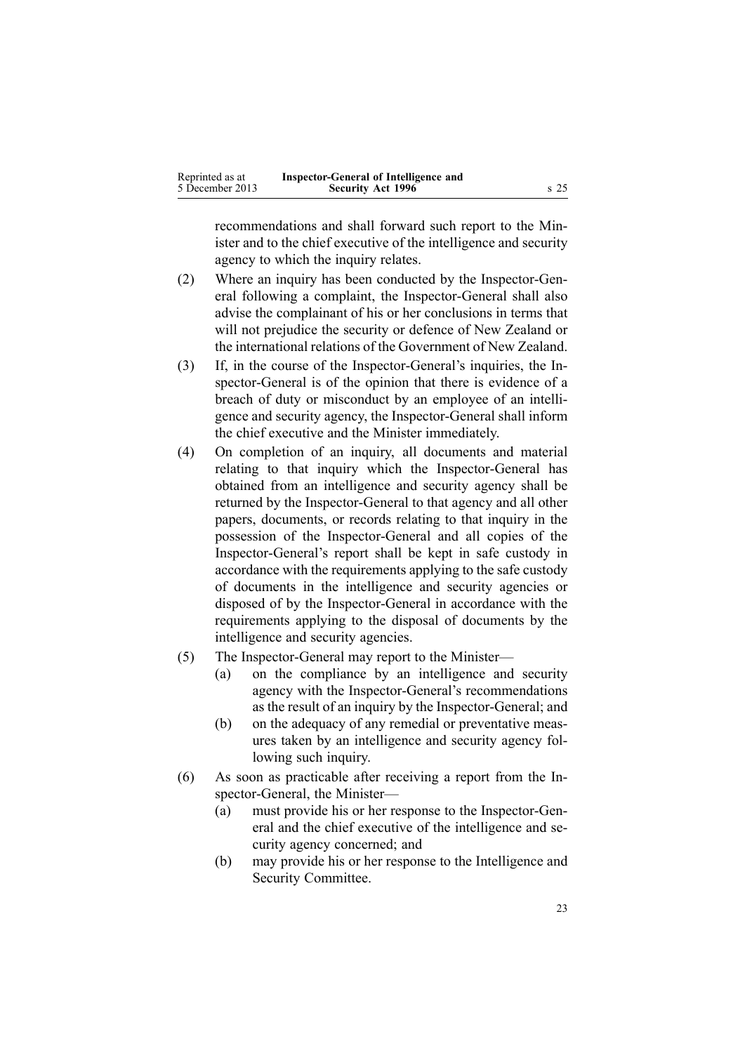| Reprinted as at | Inspector-General of Intelligence and |      |
|-----------------|---------------------------------------|------|
| 5 December 2013 | <b>Security Act 1996</b>              | s 25 |

recommendations and shall forward such repor<sup>t</sup> to the Minister and to the chief executive of the intelligence and security agency to which the inquiry relates.

- (2) Where an inquiry has been conducted by the Inspector-General following <sup>a</sup> complaint, the Inspector-General shall also advise the complainant of his or her conclusions in terms that will not prejudice the security or defence of New Zealand or the international relations of the Government of New Zealand.
- (3) If, in the course of the Inspector-General's inquiries, the Inspector-General is of the opinion that there is evidence of <sup>a</sup> breach of duty or misconduct by an employee of an intelligence and security agency, the Inspector-General shall inform the chief executive and the Minister immediately.
- (4) On completion of an inquiry, all documents and material relating to that inquiry which the Inspector-General has obtained from an intelligence and security agency shall be returned by the Inspector-General to that agency and all other papers, documents, or records relating to that inquiry in the possession of the Inspector-General and all copies of the Inspector-General's repor<sup>t</sup> shall be kept in safe custody in accordance with the requirements applying to the safe custody of documents in the intelligence and security agencies or disposed of by the Inspector-General in accordance with the requirements applying to the disposal of documents by the intelligence and security agencies.
- (5) The Inspector-General may repor<sup>t</sup> to the Minister—
	- (a) on the compliance by an intelligence and security agency with the Inspector-General's recommendations as the result of an inquiry by the Inspector-General; and
	- (b) on the adequacy of any remedial or preventative measures taken by an intelligence and security agency following such inquiry.
- (6) As soon as practicable after receiving <sup>a</sup> repor<sup>t</sup> from the Inspector-General, the Minister—
	- (a) must provide his or her response to the Inspector-General and the chief executive of the intelligence and security agency concerned; and
	- (b) may provide his or her response to the Intelligence and Security Committee.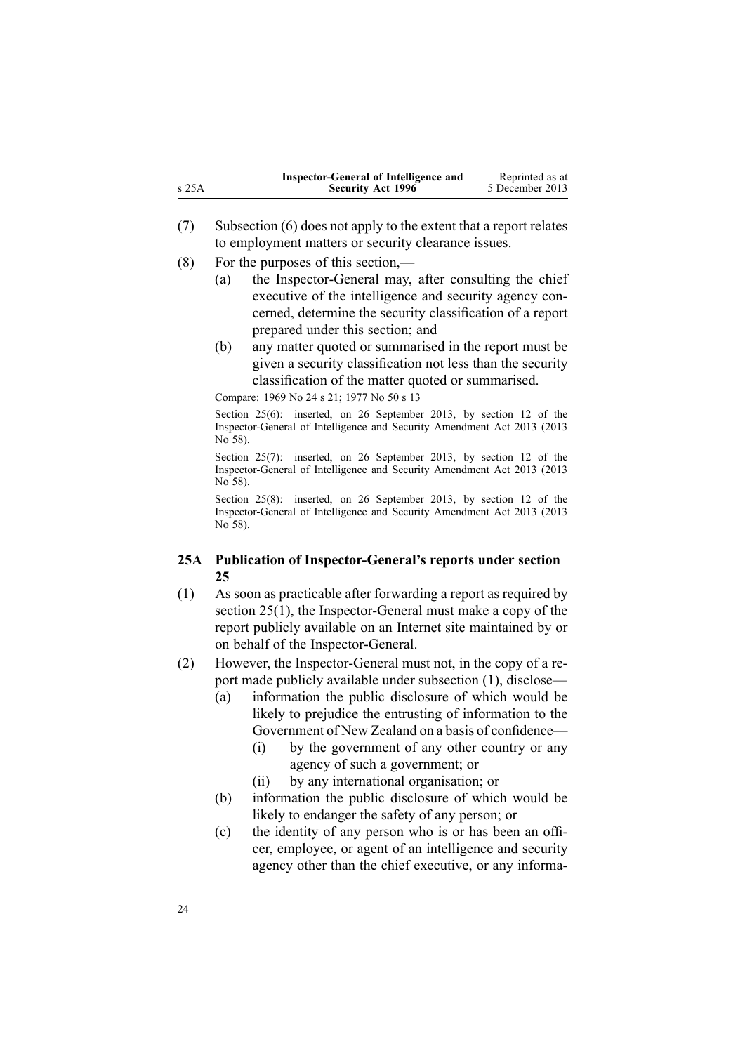<span id="page-23-0"></span>

|       | Inspector-General of Intelligence and | Reprinted as at |
|-------|---------------------------------------|-----------------|
| s 25A | <b>Security Act 1996</b>              | 5 December 2013 |

- (7) Subsection (6) does not apply to the extent that <sup>a</sup> repor<sup>t</sup> relates to employment matters or security clearance issues.
- (8) For the purposes of this section,—
	- (a) the Inspector-General may, after consulting the chief executive of the intelligence and security agency concerned, determine the security classification of <sup>a</sup> repor<sup>t</sup> prepared under this section; and
	- (b) any matter quoted or summarised in the repor<sup>t</sup> must be given <sup>a</sup> security classification not less than the security classification of the matter quoted or summarised.

Compare: 1969 No 24 <sup>s</sup> [21](http://www.legislation.govt.nz/pdflink.aspx?id=DLM392048); 1977 No 50 <sup>s</sup> 13

Section 25(6): inserted, on 26 September 2013, by [section](http://www.legislation.govt.nz/pdflink.aspx?id=DLM5495933) 12 of the Inspector-General of Intelligence and Security Amendment Act 2013 (2013  $\overline{No}$  58).

Section 25(7): inserted, on 26 September 2013, by [section](http://www.legislation.govt.nz/pdflink.aspx?id=DLM5495933) 12 of the Inspector-General of Intelligence and Security Amendment Act 2013 (2013 No 58).

Section 25(8): inserted, on 26 September 2013, by [section](http://www.legislation.govt.nz/pdflink.aspx?id=DLM5495933) 12 of the Inspector-General of Intelligence and Security Amendment Act 2013 (2013 No 58).

### **25A Publication of Inspector-General's reports under section 25**

- (1) As soon as practicable after forwarding <sup>a</sup> repor<sup>t</sup> as required by [section](#page-21-0) 25(1), the Inspector-General must make <sup>a</sup> copy of the repor<sup>t</sup> publicly available on an Internet site maintained by or on behalf of the Inspector-General.
- (2) However, the Inspector-General must not, in the copy of <sup>a</sup> repor<sup>t</sup> made publicly available under subsection (1), disclose—
	- (a) information the public disclosure of which would be likely to prejudice the entrusting of information to the Government of New Zealand on <sup>a</sup> basis of confidence—
		- (i) by the governmen<sup>t</sup> of any other country or any agency of such <sup>a</sup> government; or
		- (ii) by any international organisation; or
	- (b) information the public disclosure of which would be likely to endanger the safety of any person; or
	- (c) the identity of any person who is or has been an officer, employee, or agen<sup>t</sup> of an intelligence and security agency other than the chief executive, or any informa-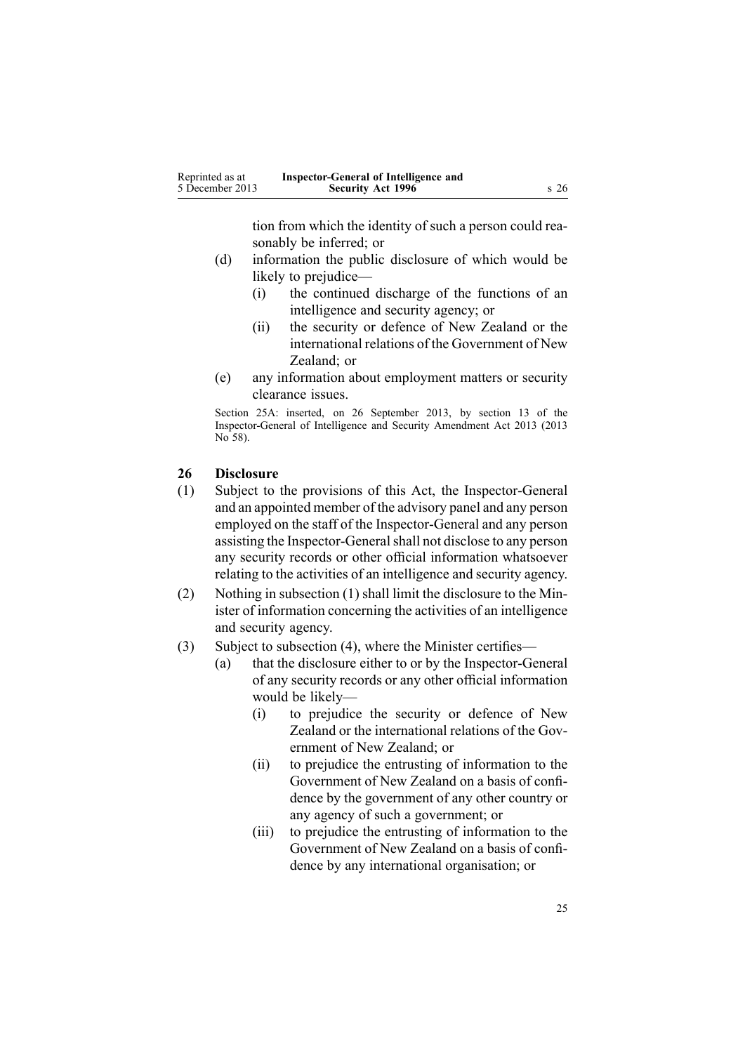tion from which the identity of such <sup>a</sup> person could reasonably be inferred; or

- <span id="page-24-0"></span>(d) information the public disclosure of which would be likely to prejudice—
	- (i) the continued discharge of the functions of an intelligence and security agency; or
	- (ii) the security or defence of New Zealand or the international relations of the Government of New Zealand; or
- (e) any information about employment matters or security clearance issues.

Section 25A: inserted, on 26 September 2013, by [section](http://www.legislation.govt.nz/pdflink.aspx?id=DLM5495934) 13 of the Inspector-General of Intelligence and Security Amendment Act 2013 (2013 No 58).

# **26 Disclosure**

- (1) Subject to the provisions of this Act, the Inspector-General and an appointed member of the advisory panel and any person employed on the staff of the Inspector-General and any person assisting the Inspector-General shall not disclose to any person any security records or other official information whatsoever relating to the activities of an intelligence and security agency.
- (2) Nothing in subsection (1) shall limit the disclosure to the Minister of information concerning the activities of an intelligence and security agency.
- (3) Subject to subsection (4), where the Minister certifies—
	- (a) that the disclosure either to or by the Inspector-General of any security records or any other official information would be likely—
		- (i) to prejudice the security or defence of New Zealand or the international relations of the Government of New Zealand; or
		- (ii) to prejudice the entrusting of information to the Government of New Zealand on <sup>a</sup> basis of confidence by the governmen<sup>t</sup> of any other country or any agency of such <sup>a</sup> government; or
		- (iii) to prejudice the entrusting of information to the Government of New Zealand on <sup>a</sup> basis of confidence by any international organisation; or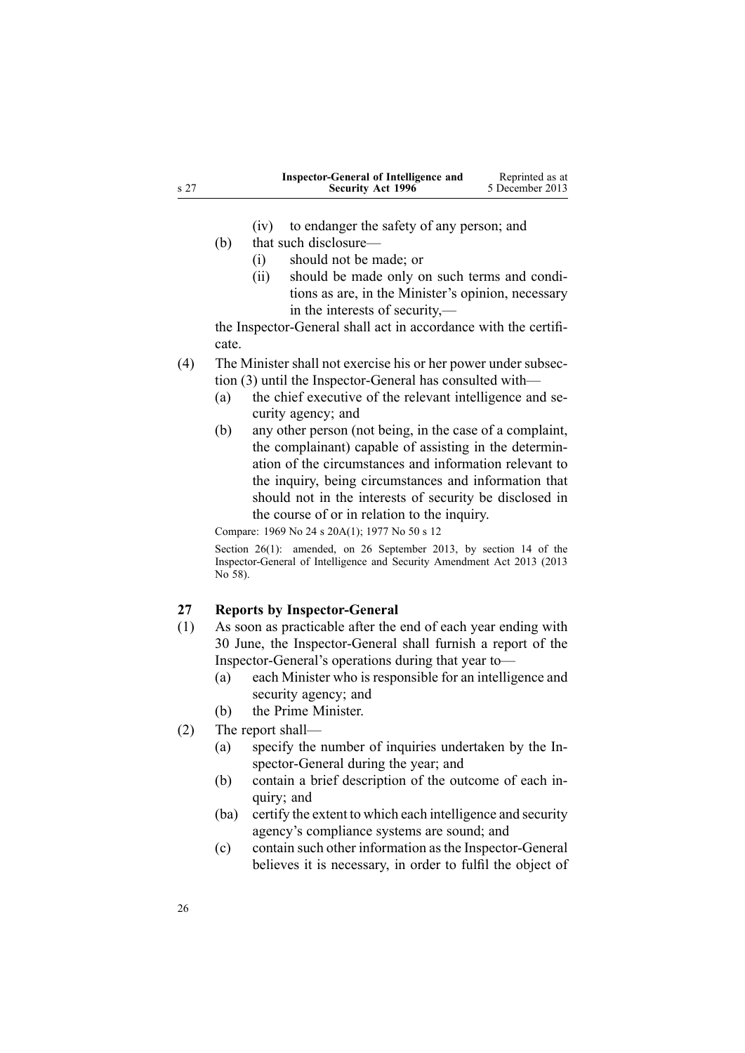<span id="page-25-0"></span>

|      | Inspector-General of Intelligence and | Reprinted as at |
|------|---------------------------------------|-----------------|
| s 27 | <b>Security Act 1996</b>              | 5 December 2013 |

- (iv) to endanger the safety of any person; and
- (b) that such disclosure—
	- (i) should not be made; or
	- (ii) should be made only on such terms and conditions as are, in the Minister's opinion, necessary in the interests of security,—

the Inspector-General shall act in accordance with the certificate.

- (4) The Minister shall not exercise his or her power under subsection (3) until the Inspector-General has consulted with—
	- (a) the chief executive of the relevant intelligence and security agency; and
	- (b) any other person (not being, in the case of <sup>a</sup> complaint, the complainant) capable of assisting in the determination of the circumstances and information relevant to the inquiry, being circumstances and information that should not in the interests of security be disclosed in the course of or in relation to the inquiry.

Compare: 1969 No 24 <sup>s</sup> [20A\(1\)](http://www.legislation.govt.nz/pdflink.aspx?id=DLM392045); 1977 No 50 <sup>s</sup> 12

Section 26(1): amended, on 26 September 2013, by [section](http://www.legislation.govt.nz/pdflink.aspx?id=DLM5495936) 14 of the Inspector-General of Intelligence and Security Amendment Act 2013 (2013 No 58).

### **27 Reports by Inspector-General**

- (1) As soon as practicable after the end of each year ending with 30 June, the Inspector-General shall furnish <sup>a</sup> repor<sup>t</sup> of the Inspector-General's operations during that year to—
	- (a) each Minister who is responsible for an intelligence and security agency; and
	- (b) the Prime Minister.
- (2) The repor<sup>t</sup> shall—
	- (a) specify the number of inquiries undertaken by the Inspector-General during the year; and
	- (b) contain <sup>a</sup> brief description of the outcome of each inquiry; and
	- (ba) certify the extent to which each intelligence and security agency's compliance systems are sound; and
	- (c) contain such other information asthe Inspector-General believes it is necessary, in order to fulfil the object of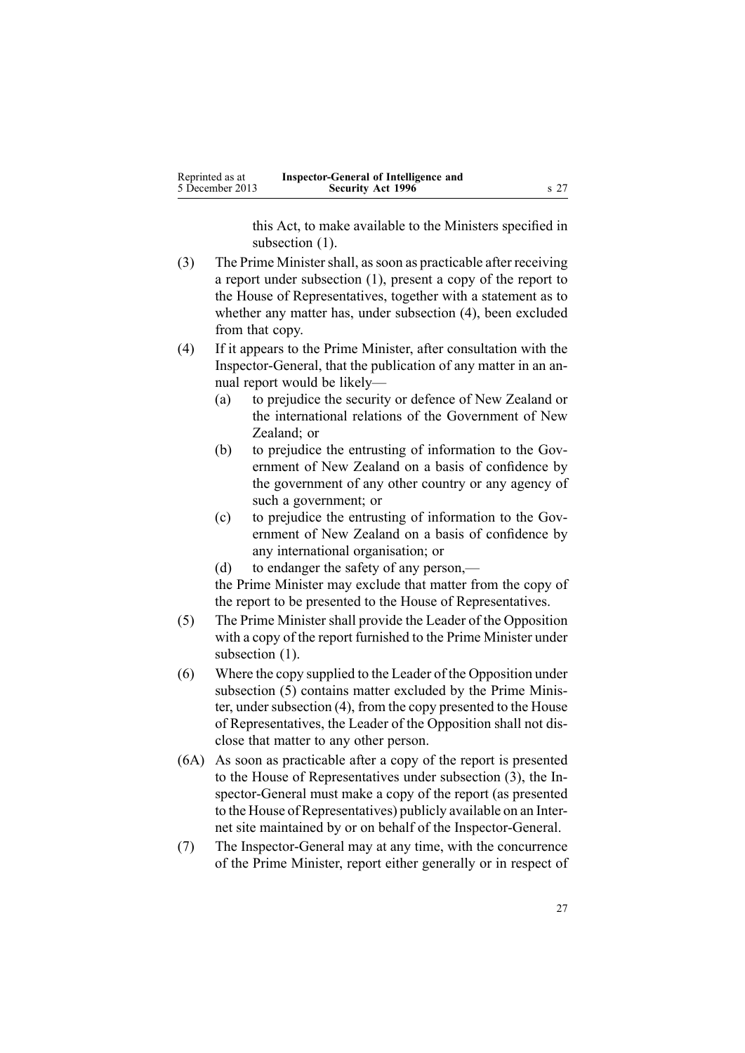this Act, to make available to the Ministers specified in subsection  $(1)$ .

- (3) The Prime Minister shall, as soon as practicable after receiving <sup>a</sup> repor<sup>t</sup> under subsection (1), presen<sup>t</sup> <sup>a</sup> copy of the repor<sup>t</sup> to the House of Representatives, together with <sup>a</sup> statement as to whether any matter has, under subsection (4), been excluded from that copy.
- (4) If it appears to the Prime Minister, after consultation with the Inspector-General, that the publication of any matter in an annual repor<sup>t</sup> would be likely—
	- (a) to prejudice the security or defence of New Zealand or the international relations of the Government of New Zealand: or
	- (b) to prejudice the entrusting of information to the Government of New Zealand on <sup>a</sup> basis of confidence by the governmen<sup>t</sup> of any other country or any agency of such <sup>a</sup> government; or
	- (c) to prejudice the entrusting of information to the Government of New Zealand on <sup>a</sup> basis of confidence by any international organisation; or
	- (d) to endanger the safety of any person,—

the Prime Minister may exclude that matter from the copy of the repor<sup>t</sup> to be presented to the House of Representatives.

- (5) The Prime Minister shall provide the Leader of the Opposition with <sup>a</sup> copy of the repor<sup>t</sup> furnished to the Prime Minister under subsection  $(1)$ .
- (6) Where the copy supplied to the Leader of the Opposition under subsection (5) contains matter excluded by the Prime Minister, under subsection  $(4)$ , from the copy presented to the House of Representatives, the Leader of the Opposition shall not disclose that matter to any other person.
- (6A) As soon as practicable after <sup>a</sup> copy of the repor<sup>t</sup> is presented to the House of Representatives under subsection (3), the Inspector-General must make <sup>a</sup> copy of the repor<sup>t</sup> (as presented to the House of Representatives) publicly available on an Internet site maintained by or on behalf of the Inspector-General.
- (7) The Inspector-General may at any time, with the concurrence of the Prime Minister, repor<sup>t</sup> either generally or in respec<sup>t</sup> of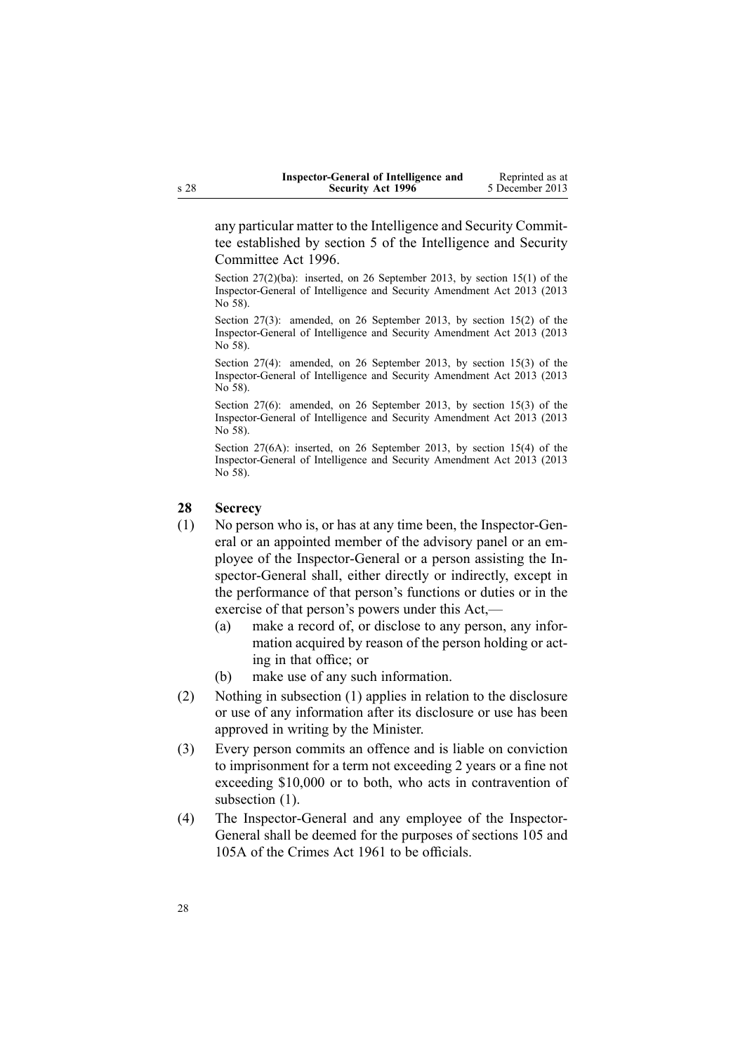| Inspector-General of Intelligence and | Reprinted as at |
|---------------------------------------|-----------------|
| <b>Security Act 1996</b>              | 5 December 2013 |

<span id="page-27-0"></span>any particular matter to the Intelligence and Security Committee established by [section](http://www.legislation.govt.nz/pdflink.aspx?id=DLM392266) 5 of the Intelligence and Security Committee Act 1996.

Section 27(2)(ba): inserted, on 26 September 2013, by [section](http://www.legislation.govt.nz/pdflink.aspx?id=DLM5495937) 15(1) of the Inspector-General of Intelligence and Security Amendment Act 2013 (2013 No 58).

Section 27(3): amended, on 26 September 2013, by [section](http://www.legislation.govt.nz/pdflink.aspx?id=DLM5495937) 15(2) of the Inspector-General of Intelligence and Security Amendment Act 2013 (2013 No 58).

Section 27(4): amended, on 26 September 2013, by [section](http://www.legislation.govt.nz/pdflink.aspx?id=DLM5495937) 15(3) of the Inspector-General of Intelligence and Security Amendment Act 2013 (2013 No 58).

Section 27(6): amended, on 26 September 2013, by [section](http://www.legislation.govt.nz/pdflink.aspx?id=DLM5495937) 15(3) of the Inspector-General of Intelligence and Security Amendment Act 2013 (2013 No 58).

Section 27(6A): inserted, on 26 September 2013, by [section](http://www.legislation.govt.nz/pdflink.aspx?id=DLM5495937) 15(4) of the Inspector-General of Intelligence and Security Amendment Act 2013 (2013 No 58).

#### **28 Secrecy**

- (1) No person who is, or has at any time been, the Inspector-General or an appointed member of the advisory panel or an employee of the Inspector-General or <sup>a</sup> person assisting the Inspector-General shall, either directly or indirectly, excep<sup>t</sup> in the performance of that person's functions or duties or in the exercise of that person's powers under this Act,—
	- (a) make <sup>a</sup> record of, or disclose to any person, any information acquired by reason of the person holding or acting in that office; or
	- (b) make use of any such information.
- (2) Nothing in subsection (1) applies in relation to the disclosure or use of any information after its disclosure or use has been approved in writing by the Minister.
- (3) Every person commits an offence and is liable on conviction to imprisonment for <sup>a</sup> term not exceeding 2 years or <sup>a</sup> fine not exceeding \$10,000 or to both, who acts in contravention of subsection  $(1)$ .
- (4) The Inspector-General and any employee of the Inspector-General shall be deemed for the purposes of [sections](http://www.legislation.govt.nz/pdflink.aspx?id=DLM328753) 105 and [105A](http://www.legislation.govt.nz/pdflink.aspx?id=DLM328755) of the Crimes Act 1961 to be officials.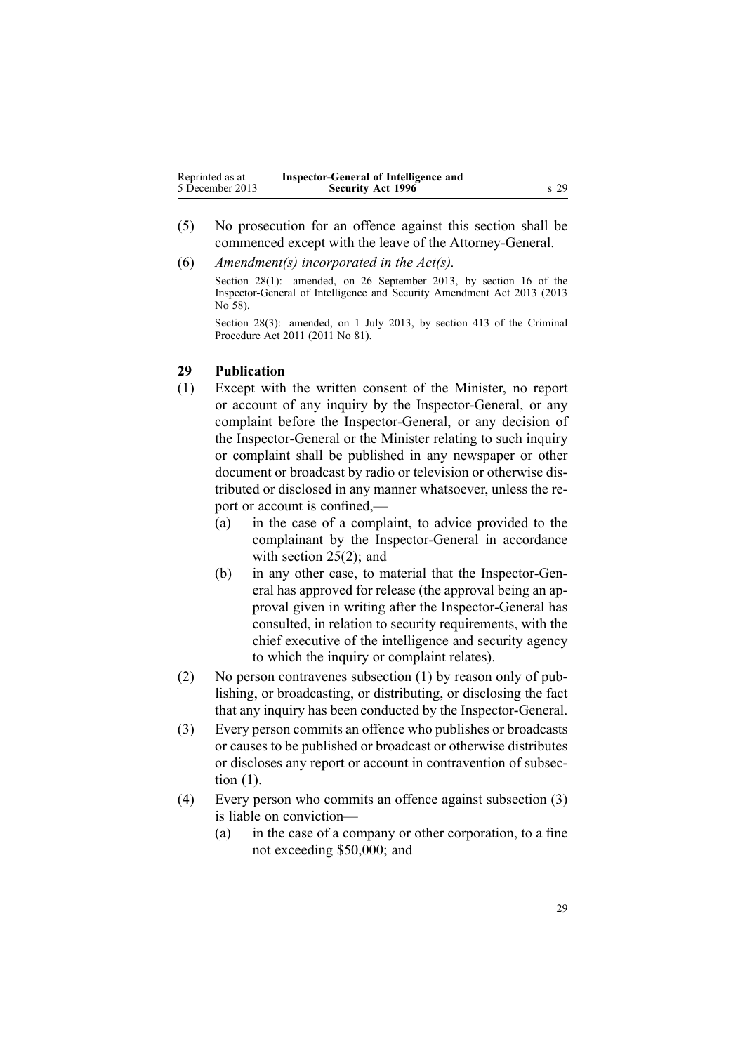<span id="page-28-0"></span>

| Reprinted as at | Inspector-General of Intelligence and |        |
|-----------------|---------------------------------------|--------|
| 5 December 2013 | <b>Security Act 1996</b>              | $s$ 29 |

- (5) No prosecution for an offence against this section shall be commenced excep<sup>t</sup> with the leave of the Attorney-General.
- (6) *Amendment(s) incorporated in the [Act\(s\).](http://www.legislation.govt.nz/pdflink.aspx?id=DLM311185)* Section 28(1): amended, on 26 September 2013, by [section](http://www.legislation.govt.nz/pdflink.aspx?id=DLM5495938) 16 of the Inspector-General of Intelligence and Security Amendment Act 2013 (2013 No 58).

Section 28(3): amended, on 1 July 2013, by [section](http://www.legislation.govt.nz/pdflink.aspx?id=DLM3360714) 413 of the Criminal Procedure Act 2011 (2011 No 81).

# **29 Publication**

- (1) Except with the written consent of the Minister, no repor<sup>t</sup> or account of any inquiry by the Inspector-General, or any complaint before the Inspector-General, or any decision of the Inspector-General or the Minister relating to such inquiry or complaint shall be published in any newspaper or other document or broadcast by radio or television or otherwise distributed or disclosed in any manner whatsoever, unless the repor<sup>t</sup> or account is confined,—
	- (a) in the case of <sup>a</sup> complaint, to advice provided to the complainant by the Inspector-General in accordance with [section](#page-21-0) 25(2); and
	- (b) in any other case, to material that the Inspector-General has approved for release (the approval being an approval given in writing after the Inspector-General has consulted, in relation to security requirements, with the chief executive of the intelligence and security agency to which the inquiry or complaint relates).
- (2) No person contravenes subsection (1) by reason only of publishing, or broadcasting, or distributing, or disclosing the fact that any inquiry has been conducted by the Inspector-General.
- (3) Every person commits an offence who publishes or broadcasts or causes to be published or broadcast or otherwise distributes or discloses any repor<sup>t</sup> or account in contravention of subsection (1).
- (4) Every person who commits an offence against subsection (3) is liable on conviction—
	- (a) in the case of <sup>a</sup> company or other corporation, to <sup>a</sup> fine not exceeding \$50,000; and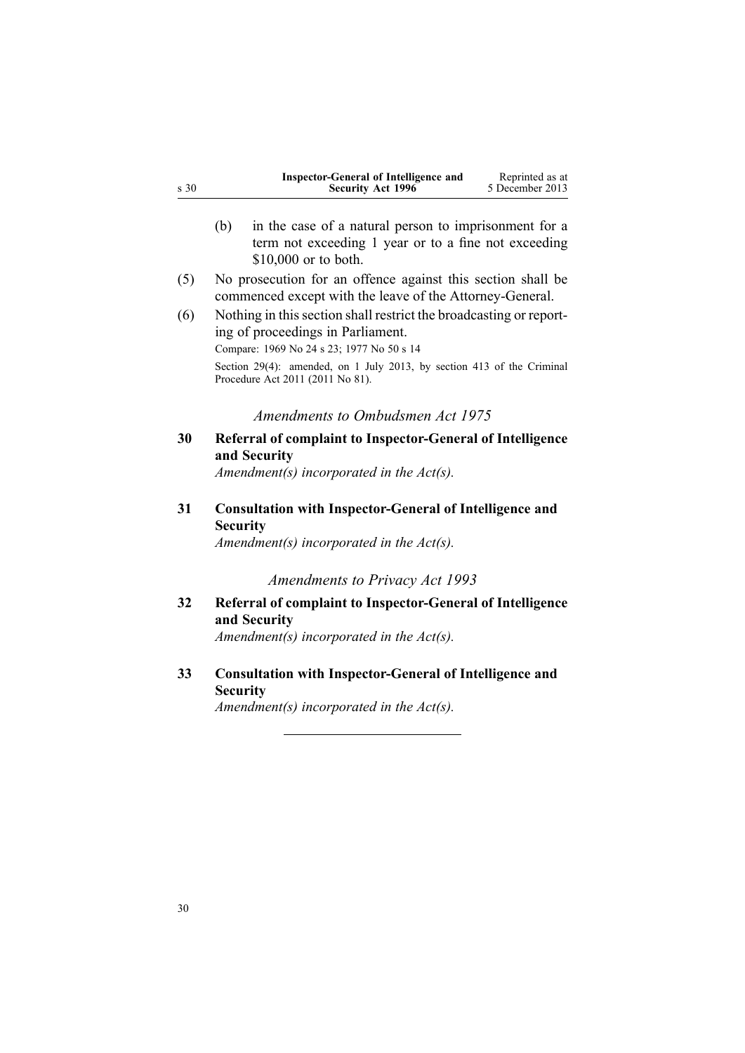<span id="page-29-0"></span>

| s 30 |                                                                                                                                                                                                                                | <b>Inspector-General of Intelligence and</b><br>Security Act 1996                                                                     | Reprinted as at<br>5 December 2013 |
|------|--------------------------------------------------------------------------------------------------------------------------------------------------------------------------------------------------------------------------------|---------------------------------------------------------------------------------------------------------------------------------------|------------------------------------|
|      | (b)                                                                                                                                                                                                                            | in the case of a natural person to imprisonment for a<br>term not exceeding 1 year or to a fine not exceeding<br>\$10,000 or to both. |                                    |
| (5)  |                                                                                                                                                                                                                                | No prosecution for an offence against this section shall be<br>commenced except with the leave of the Attorney-General.               |                                    |
| (6)  | Nothing in this section shall restrict the broadcasting or report-<br>ing of proceedings in Parliament.<br>Compare: 1969 No 24 s 23; 1977 No 50 s 14<br>Section 29(4): amended, on 1 July 2013, by section 413 of the Criminal |                                                                                                                                       |                                    |
|      |                                                                                                                                                                                                                                | Procedure Act 2011 (2011 No 81).                                                                                                      |                                    |
|      |                                                                                                                                                                                                                                | Amendments to Ombudsmen Act 1975                                                                                                      |                                    |
| 30   |                                                                                                                                                                                                                                | <b>Referral of complaint to Inspector-General of Intelligence</b><br>and Security<br>Amendment(s) incorporated in the $Act(s)$ .      |                                    |
| 31   | <b>Security</b>                                                                                                                                                                                                                | <b>Consultation with Inspector-General of Intelligence and</b><br>Amendment(s) incorporated in the $Act(s)$ .                         |                                    |
|      |                                                                                                                                                                                                                                | <b>Amendments to Privacy Act 1993</b>                                                                                                 |                                    |
| 32   |                                                                                                                                                                                                                                | <b>Referral of complaint to Inspector-General of Intelligence</b><br>and Security                                                     |                                    |
|      |                                                                                                                                                                                                                                | Amendment(s) incorporated in the $Act(s)$ .                                                                                           |                                    |
| 33   | <b>Security</b>                                                                                                                                                                                                                | <b>Consultation with Inspector-General of Intelligence and</b>                                                                        |                                    |
|      |                                                                                                                                                                                                                                | Amendment(s) incorporated in the $Act(s)$ .                                                                                           |                                    |
|      |                                                                                                                                                                                                                                |                                                                                                                                       |                                    |
|      |                                                                                                                                                                                                                                |                                                                                                                                       |                                    |
|      |                                                                                                                                                                                                                                |                                                                                                                                       |                                    |
|      |                                                                                                                                                                                                                                |                                                                                                                                       |                                    |